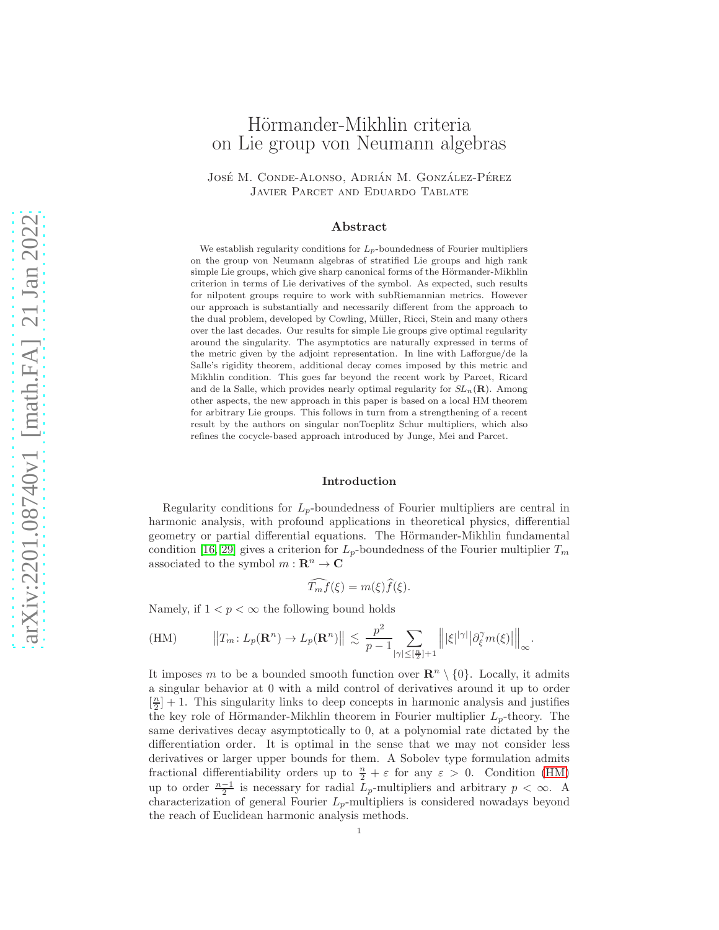# Hörmander-Mikhlin criteria on Lie group von Neumann algebras

JOSÉ M. CONDE-ALONSO, ADRIÁN M. GONZÁLEZ-PÉREZ Javier Parcet and Eduardo Tablate

## Abstract

We establish regularity conditions for  $L_p$ -boundedness of Fourier multipliers on the group von Neumann algebras of stratified Lie groups and high rank simple Lie groups, which give sharp canonical forms of the Hörmander-Mikhlin criterion in terms of Lie derivatives of the symbol. As expected, such results for nilpotent groups require to work with subRiemannian metrics. However our approach is substantially and necessarily different from the approach to the dual problem, developed by Cowling, Müller, Ricci, Stein and many others over the last decades. Our results for simple Lie groups give optimal regularity around the singularity. The asymptotics are naturally expressed in terms of the metric given by the adjoint representation. In line with Lafforgue/de la Salle's rigidity theorem, additional decay comes imposed by this metric and Mikhlin condition. This goes far beyond the recent work by Parcet, Ricard and de la Salle, which provides nearly optimal regularity for  $SL_n(\mathbf{R})$ . Among other aspects, the new approach in this paper is based on a local HM theorem for arbitrary Lie groups. This follows in turn from a strengthening of a recent result by the authors on singular nonToeplitz Schur multipliers, which also refines the cocycle-based approach introduced by Junge, Mei and Parcet.

#### Introduction

Regularity conditions for  $L_p$ -boundedness of Fourier multipliers are central in harmonic analysis, with profound applications in theoretical physics, differential geometry or partial differential equations. The Hörmander-Mikhlin fundamental condition [\[16,](#page-25-0) [29\]](#page-25-1) gives a criterion for  $L_p$ -boundedness of the Fourier multiplier  $T_m$ associated to the symbol  $m : \mathbb{R}^n \to \mathbb{C}$ 

$$
\widehat{T_m f}(\xi) = m(\xi)\widehat{f}(\xi).
$$

Namely, if  $1 < p < \infty$  the following bound holds

<span id="page-0-0"></span>(HM) 
$$
||T_m: L_p(\mathbf{R}^n) \to L_p(\mathbf{R}^n)|| \lesssim \frac{p^2}{p-1} \sum_{|\gamma| \leq \lfloor \frac{n}{2} \rfloor + 1} ||\xi||^{|\gamma|} |\partial_{\xi}^{\gamma} m(\xi)||_{\infty}.
$$

It imposes m to be a bounded smooth function over  $\mathbb{R}^n \setminus \{0\}$ . Locally, it admits a singular behavior at 0 with a mild control of derivatives around it up to order  $\left[\frac{n}{2}\right] + 1$ . This singularity links to deep concepts in harmonic analysis and justifies the key role of Hörmander-Mikhlin theorem in Fourier multiplier  $L_p$ -theory. The same derivatives decay asymptotically to 0, at a polynomial rate dictated by the differentiation order. It is optimal in the sense that we may not consider less derivatives or larger upper bounds for them. A Sobolev type formulation admits fractional differentiability orders up to  $\frac{n}{2} + \varepsilon$  for any  $\varepsilon > 0$ . Condition [\(HM\)](#page-0-0) up to order  $\frac{n-1}{2}$  is necessary for radial L<sub>p</sub>-multipliers and arbitrary  $p < \infty$ . characterization of general Fourier  $L_p$ -multipliers is considered nowadays beyond the reach of Euclidean harmonic analysis methods.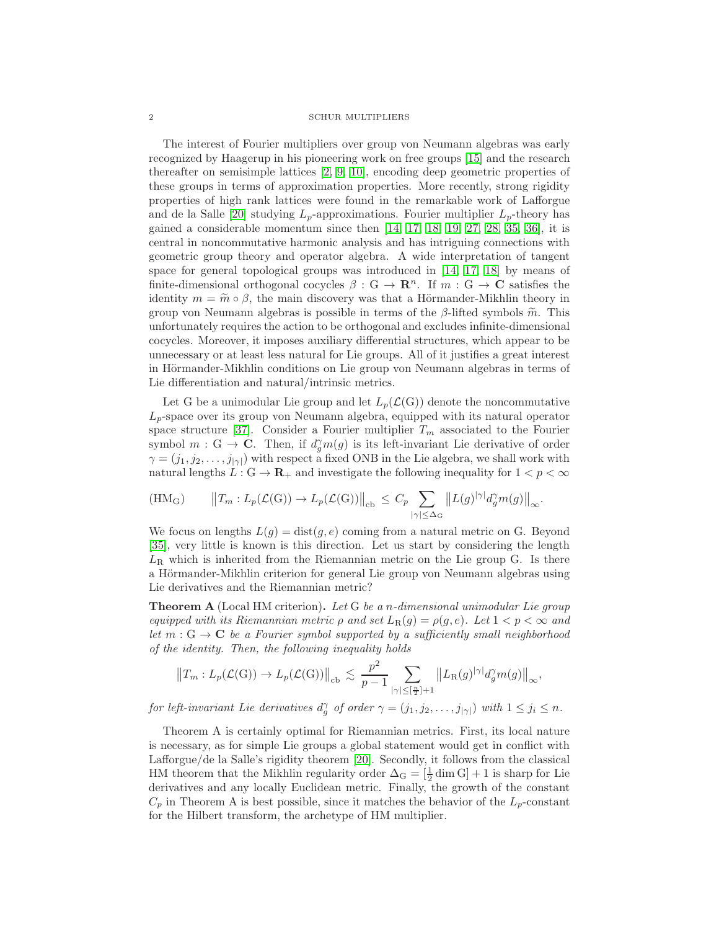The interest of Fourier multipliers over group von Neumann algebras was early recognized by Haagerup in his pioneering work on free groups [\[15\]](#page-25-2) and the research thereafter on semisimple lattices [\[2,](#page-25-3) [9,](#page-25-4) [10\]](#page-25-5), encoding deep geometric properties of these groups in terms of approximation properties. More recently, strong rigidity properties of high rank lattices were found in the remarkable work of Lafforgue and de la Salle [\[20\]](#page-25-6) studying  $L_p$ -approximations. Fourier multiplier  $L_p$ -theory has gained a considerable momentum since then [\[14,](#page-25-7) [17,](#page-25-8) [18,](#page-25-9) [19,](#page-25-10) [27,](#page-25-11) [28,](#page-25-12) [35,](#page-26-0) [36\]](#page-26-1), it is central in noncommutative harmonic analysis and has intriguing connections with geometric group theory and operator algebra. A wide interpretation of tangent space for general topological groups was introduced in [\[14,](#page-25-7) [17,](#page-25-8) [18\]](#page-25-9) by means of finite-dimensional orthogonal cocycles  $\beta : G \to \mathbb{R}^n$ . If  $m : G \to \mathbb{C}$  satisfies the identity  $m = \tilde{m} \circ \beta$ , the main discovery was that a Hörmander-Mikhlin theory in group von Neumann algebras is possible in terms of the  $\beta$ -lifted symbols  $\tilde{m}$ . This unfortunately requires the action to be orthogonal and excludes infinite-dimensional cocycles. Moreover, it imposes auxiliary differential structures, which appear to be unnecessary or at least less natural for Lie groups. All of it justifies a great interest in Hörmander-Mikhlin conditions on Lie group von Neumann algebras in terms of Lie differentiation and natural/intrinsic metrics.

Let G be a unimodular Lie group and let  $L_p(\mathcal{L}(G))$  denote the noncommutative  $L_p$ -space over its group von Neumann algebra, equipped with its natural operator space structure [\[37\]](#page-26-2). Consider a Fourier multiplier  $T_m$  associated to the Fourier symbol  $m: G \to \mathbb{C}$ . Then, if  $d_g^{\gamma} m(g)$  is its left-invariant Lie derivative of order  $\gamma = (j_1, j_2, \ldots, j_{|\gamma|})$  with respect a fixed ONB in the Lie algebra, we shall work with natural lengths  $L: G \to \mathbf{R}_+$  and investigate the following inequality for  $1 < p < \infty$ 

$$
(\mathrm{HM}_{\mathrm{G}}) \qquad \left\|T_m: L_p(\mathcal{L}(\mathrm{G})) \to L_p(\mathcal{L}(\mathrm{G}))\right\|_{\mathrm{cb}} \leq C_p \sum_{|\gamma| \leq \Delta_{\mathrm{G}}} \left\|L(g)^{|\gamma|} d_g^{\gamma} m(g)\right\|_{\infty}.
$$

We focus on lengths  $L(g) = \text{dist}(g, e)$  coming from a natural metric on G. Beyond [\[35\]](#page-26-0), very little is known is this direction. Let us start by considering the length  $L_{\rm R}$  which is inherited from the Riemannian metric on the Lie group G. Is there a Hörmander-Mikhlin criterion for general Lie group von Neumann algebras using Lie derivatives and the Riemannian metric?

**Theorem A** (Local HM criterion). Let G be a n-dimensional unimodular Lie group equipped with its Riemannian metric  $\rho$  and set  $L_R(g) = \rho(g, e)$ . Let  $1 < p < \infty$  and let  $m: G \to \mathbf{C}$  be a Fourier symbol supported by a sufficiently small neighborhood of the identity. Then, the following inequality holds

$$
||T_m: L_p(\mathcal{L}(G)) \to L_p(\mathcal{L}(G))||_{cb} \lesssim \frac{p^2}{p-1} \sum_{|\gamma| \leq [\frac{n}{2}]+1} ||L_R(g)|^{\gamma} |d_g^{\gamma} m(g)||_{\infty},
$$

for left-invariant Lie derivatives  $d_g^{\gamma}$  of order  $\gamma = (j_1, j_2, \ldots, j_{|\gamma|})$  with  $1 \leq j_i \leq n$ .

Theorem A is certainly optimal for Riemannian metrics. First, its local nature is necessary, as for simple Lie groups a global statement would get in conflict with Lafforgue/de la Salle's rigidity theorem [\[20\]](#page-25-6). Secondly, it follows from the classical HM theorem that the Mikhlin regularity order  $\Delta_G = \left[\frac{1}{2} \dim G\right] + 1$  is sharp for Lie derivatives and any locally Euclidean metric. Finally, the growth of the constant  $C_p$  in Theorem A is best possible, since it matches the behavior of the  $L_p$ -constant for the Hilbert transform, the archetype of HM multiplier.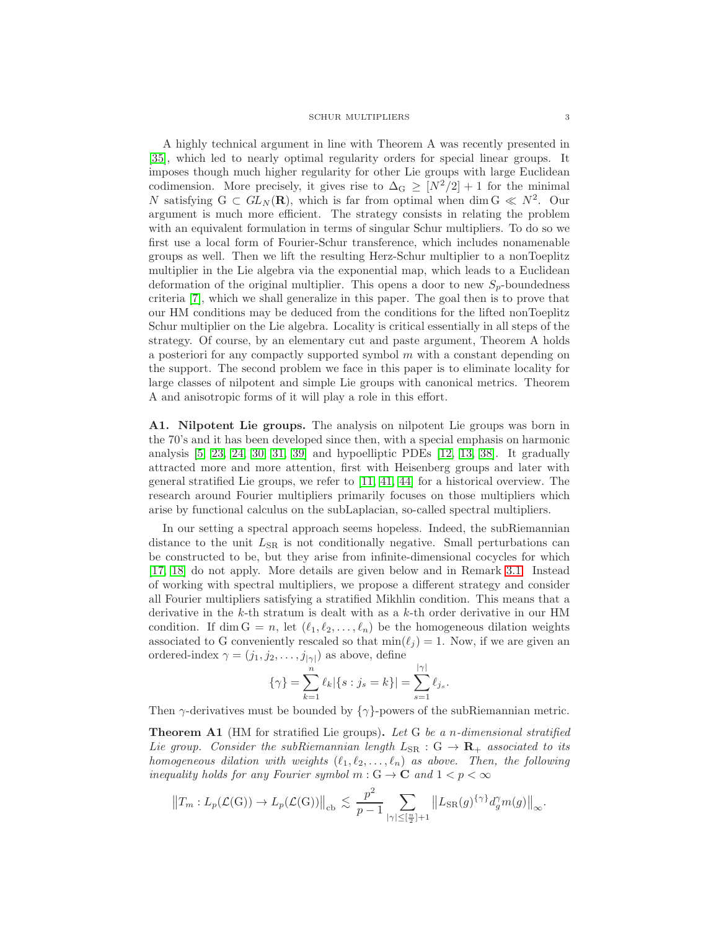A highly technical argument in line with Theorem A was recently presented in [\[35\]](#page-26-0), which led to nearly optimal regularity orders for special linear groups. It imposes though much higher regularity for other Lie groups with large Euclidean codimension. More precisely, it gives rise to  $\Delta_G \geq [N^2/2]+1$  for the minimal N satisfying  $G \subset GL_N(\mathbf{R})$ , which is far from optimal when dim  $G \ll N^2$ . Our argument is much more efficient. The strategy consists in relating the problem with an equivalent formulation in terms of singular Schur multipliers. To do so we first use a local form of Fourier-Schur transference, which includes nonamenable groups as well. Then we lift the resulting Herz-Schur multiplier to a nonToeplitz multiplier in the Lie algebra via the exponential map, which leads to a Euclidean deformation of the original multiplier. This opens a door to new  $S_p$ -boundedness criteria [\[7\]](#page-25-13), which we shall generalize in this paper. The goal then is to prove that our HM conditions may be deduced from the conditions for the lifted nonToeplitz Schur multiplier on the Lie algebra. Locality is critical essentially in all steps of the strategy. Of course, by an elementary cut and paste argument, Theorem A holds a posteriori for any compactly supported symbol m with a constant depending on the support. The second problem we face in this paper is to eliminate locality for large classes of nilpotent and simple Lie groups with canonical metrics. Theorem A and anisotropic forms of it will play a role in this effort.

A1. Nilpotent Lie groups. The analysis on nilpotent Lie groups was born in the 70's and it has been developed since then, with a special emphasis on harmonic analysis [\[5,](#page-25-14) [23,](#page-25-15) [24,](#page-25-16) [30,](#page-26-3) [31,](#page-26-4) [39\]](#page-26-5) and hypoelliptic PDEs [\[12,](#page-25-17) [13,](#page-25-18) [38\]](#page-26-6). It gradually attracted more and more attention, first with Heisenberg groups and later with general stratified Lie groups, we refer to [\[11,](#page-25-19) [41,](#page-26-7) [44\]](#page-26-8) for a historical overview. The research around Fourier multipliers primarily focuses on those multipliers which arise by functional calculus on the subLaplacian, so-called spectral multipliers.

In our setting a spectral approach seems hopeless. Indeed, the subRiemannian distance to the unit  $L_{SR}$  is not conditionally negative. Small perturbations can be constructed to be, but they arise from infinite-dimensional cocycles for which [\[17,](#page-25-8) [18\]](#page-25-9) do not apply. More details are given below and in Remark [3.1.](#page-15-0) Instead of working with spectral multipliers, we propose a different strategy and consider all Fourier multipliers satisfying a stratified Mikhlin condition. This means that a derivative in the  $k$ -th stratum is dealt with as a  $k$ -th order derivative in our HM condition. If dim  $G = n$ , let  $(\ell_1, \ell_2, \ldots, \ell_n)$  be the homogeneous dilation weights associated to G conveniently rescaled so that  $\min(\ell_i) = 1$ . Now, if we are given an ordered-index  $\gamma = (j_1, j_2, \dots, j_{|\gamma|})$  as above, define

$$
\{\gamma\} = \sum_{k=1}^{n} \ell_k |\{s : j_s = k\}| = \sum_{s=1}^{|\gamma|} \ell_{j_s}.
$$

Then  $\gamma$ -derivatives must be bounded by  $\{\gamma\}$ -powers of the subRiemannian metric.

Theorem A1 (HM for stratified Lie groups). Let G be a n-dimensional stratified Lie group. Consider the subRiemannian length  $L_{SR}$  :  $G \rightarrow \mathbb{R}_+$  associated to its homogeneous dilation with weights  $(\ell_1, \ell_2, \ldots, \ell_n)$  as above. Then, the following inequality holds for any Fourier symbol  $m: G \to \mathbf{C}$  and  $1 < p < \infty$ 

$$
||T_m: L_p(\mathcal{L}(G)) \to L_p(\mathcal{L}(G))||_{cb} \lesssim \frac{p^2}{p-1} \sum_{|\gamma| \leq [\frac{n}{2}] + 1} ||L_{SR}(g)^{\{\gamma\}} d_g^{\gamma} m(g)||_{\infty}.
$$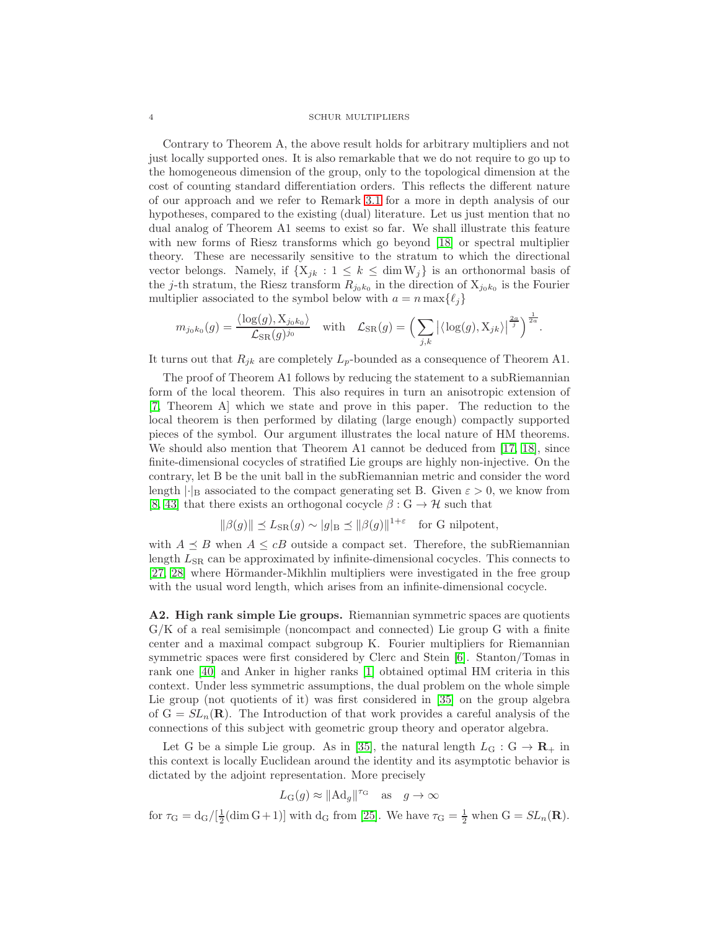Contrary to Theorem A, the above result holds for arbitrary multipliers and not just locally supported ones. It is also remarkable that we do not require to go up to the homogeneous dimension of the group, only to the topological dimension at the cost of counting standard differentiation orders. This reflects the different nature of our approach and we refer to Remark [3.1](#page-15-0) for a more in depth analysis of our hypotheses, compared to the existing (dual) literature. Let us just mention that no dual analog of Theorem A1 seems to exist so far. We shall illustrate this feature with new forms of Riesz transforms which go beyond [\[18\]](#page-25-9) or spectral multiplier theory. These are necessarily sensitive to the stratum to which the directional vector belongs. Namely, if  $\{X_{jk} : 1 \leq k \leq \dim W_j\}$  is an orthonormal basis of the j-th stratum, the Riesz transform  $R_{j_0k_0}$  in the direction of  $X_{j_0k_0}$  is the Fourier multiplier associated to the symbol below with  $a = n \max\{\ell_i\}$ 

$$
m_{j_0k_0}(g) = \frac{\langle \log(g), \mathbf{X}_{j_0k_0} \rangle}{\mathcal{L}_{\text{SR}}(g)^{j_0}} \quad \text{with} \quad \mathcal{L}_{\text{SR}}(g) = \Big( \sum_{j,k} \big| \langle \log(g), \mathbf{X}_{jk} \rangle \big|^\frac{2a}{j} \Big)^{\frac{1}{2a}}.
$$

It turns out that  $R_{jk}$  are completely  $L_p$ -bounded as a consequence of Theorem A1.

The proof of Theorem A1 follows by reducing the statement to a subRiemannian form of the local theorem. This also requires in turn an anisotropic extension of [\[7,](#page-25-13) Theorem A] which we state and prove in this paper. The reduction to the local theorem is then performed by dilating (large enough) compactly supported pieces of the symbol. Our argument illustrates the local nature of HM theorems. We should also mention that Theorem A1 cannot be deduced from [\[17,](#page-25-8) [18\]](#page-25-9), since finite-dimensional cocycles of stratified Lie groups are highly non-injective. On the contrary, let B be the unit ball in the subRiemannian metric and consider the word length  $|\cdot|_B$  associated to the compact generating set B. Given  $\varepsilon > 0$ , we know from [\[8,](#page-25-20) [43\]](#page-26-9) that there exists an orthogonal cocycle  $\beta : G \to H$  such that

$$
\|\beta(g)\| \preceq L_{\text{SR}}(g) \sim |g|_{\text{B}} \preceq \|\beta(g)\|^{1+\varepsilon} \quad \text{for } G \text{ nilpotent},
$$

with  $A \preceq B$  when  $A \leq cB$  outside a compact set. Therefore, the subRiemannian length  $L_{\rm SR}$  can be approximated by infinite-dimensional cocycles. This connects to [\[27,](#page-25-11) [28\]](#page-25-12) where Hörmander-Mikhlin multipliers were investigated in the free group with the usual word length, which arises from an infinite-dimensional cocycle.

A2. High rank simple Lie groups. Riemannian symmetric spaces are quotients G/K of a real semisimple (noncompact and connected) Lie group G with a finite center and a maximal compact subgroup K. Fourier multipliers for Riemannian symmetric spaces were first considered by Clerc and Stein [\[6\]](#page-25-21). Stanton/Tomas in rank one [\[40\]](#page-26-10) and Anker in higher ranks [\[1\]](#page-25-22) obtained optimal HM criteria in this context. Under less symmetric assumptions, the dual problem on the whole simple Lie group (not quotients of it) was first considered in [\[35\]](#page-26-0) on the group algebra of  $G = SL_n(\mathbf{R})$ . The Introduction of that work provides a careful analysis of the connections of this subject with geometric group theory and operator algebra.

Let G be a simple Lie group. As in [\[35\]](#page-26-0), the natural length  $L_G : G \to \mathbf{R}_+$  in this context is locally Euclidean around the identity and its asymptotic behavior is dictated by the adjoint representation. More precisely

$$
L_G(g) \approx ||Ad_g||^{r_G}
$$
 as  $g \to \infty$ 

for  $\tau_{\rm G} = d_{\rm G}/[\frac{1}{2}(\dim G + 1)]$  with  $d_{\rm G}$  from [\[25\]](#page-25-23). We have  $\tau_{\rm G} = \frac{1}{2}$  when  $G = SL_n(\mathbf{R})$ .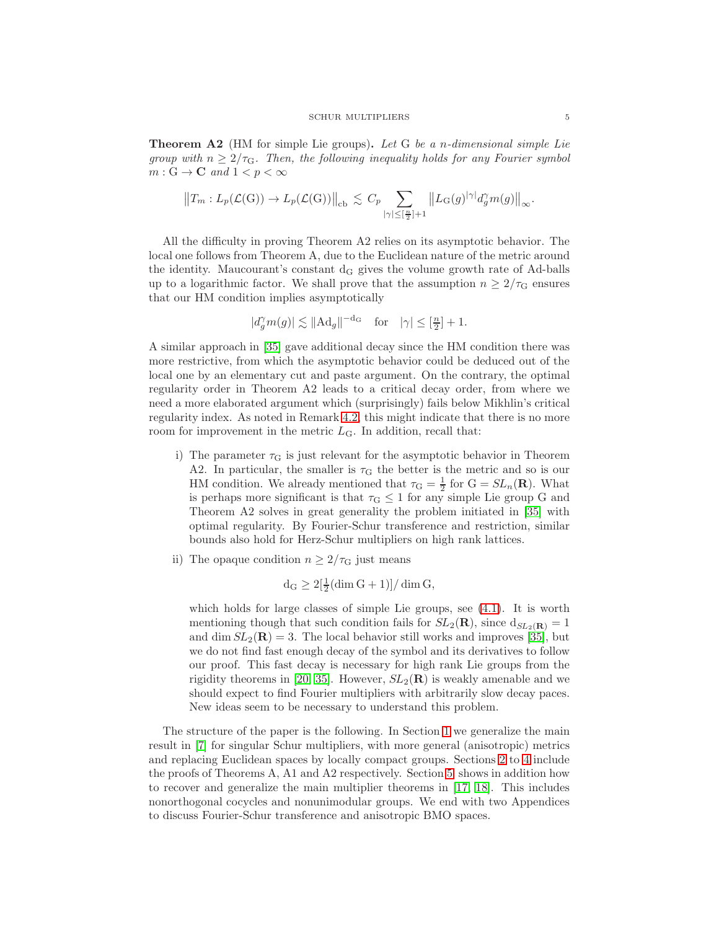**Theorem A2** (HM for simple Lie groups). Let G be a *n*-dimensional simple Lie group with  $n \geq 2/\tau_{\rm G}$ . Then, the following inequality holds for any Fourier symbol  $m: G \to \mathbf{C}$  and  $1 < p < \infty$ 

$$
||T_m: L_p(\mathcal{L}(G)) \to L_p(\mathcal{L}(G))||_{cb} \lesssim C_p \sum_{|\gamma| \leq [\frac{n}{2}]+1} ||L_G(g)|^{\gamma} |d_g^{\gamma} m(g)||_{\infty}.
$$

All the difficulty in proving Theorem A2 relies on its asymptotic behavior. The local one follows from Theorem A, due to the Euclidean nature of the metric around the identity. Maucourant's constant  $d_G$  gives the volume growth rate of Ad-balls up to a logarithmic factor. We shall prove that the assumption  $n \geq 2/\tau_{\rm G}$  ensures that our HM condition implies asymptotically

$$
|d_g^{\gamma} m(g)| \lesssim ||\text{Ad}_g||^{-d_\text{G}} \quad \text{for} \quad |\gamma| \leq [\frac{n}{2}] + 1.
$$

A similar approach in [\[35\]](#page-26-0) gave additional decay since the HM condition there was more restrictive, from which the asymptotic behavior could be deduced out of the local one by an elementary cut and paste argument. On the contrary, the optimal regularity order in Theorem A2 leads to a critical decay order, from where we need a more elaborated argument which (surprisingly) fails below Mikhlin's critical regularity index. As noted in Remark [4.2,](#page-21-0) this might indicate that there is no more room for improvement in the metric  $L<sub>G</sub>$ . In addition, recall that:

- i) The parameter  $\tau_{\rm G}$  is just relevant for the asymptotic behavior in Theorem A2. In particular, the smaller is  $\tau$ <sub>G</sub> the better is the metric and so is our HM condition. We already mentioned that  $\tau_{\rm G} = \frac{1}{2}$  for  ${\rm G} = SL_n({\bf R})$ . What is perhaps more significant is that  $\tau_{\rm G} \leq 1$  for any simple Lie group G and Theorem A2 solves in great generality the problem initiated in [\[35\]](#page-26-0) with optimal regularity. By Fourier-Schur transference and restriction, similar bounds also hold for Herz-Schur multipliers on high rank lattices.
- ii) The opaque condition  $n \geq 2/\tau_{\rm G}$  just means

$$
d_G \ge 2\left[\frac{1}{2}(\dim G + 1)\right] / \dim G,
$$

which holds for large classes of simple Lie groups, see [\(4.1\)](#page-18-0). It is worth mentioning though that such condition fails for  $SL_2(\mathbf{R})$ , since  $d_{SL_2(\mathbf{R})} = 1$ and dim  $SL_2(\mathbf{R}) = 3$ . The local behavior still works and improves [\[35\]](#page-26-0), but we do not find fast enough decay of the symbol and its derivatives to follow our proof. This fast decay is necessary for high rank Lie groups from the rigidity theorems in [\[20,](#page-25-6) [35\]](#page-26-0). However,  $SL_2(\mathbf{R})$  is weakly amenable and we should expect to find Fourier multipliers with arbitrarily slow decay paces. New ideas seem to be necessary to understand this problem.

The structure of the paper is the following. In Section [1](#page-5-0) we generalize the main result in [\[7\]](#page-25-13) for singular Schur multipliers, with more general (anisotropic) metrics and replacing Euclidean spaces by locally compact groups. Sections [2](#page-10-0) to [4](#page-18-1) include the proofs of Theorems A, A1 and A2 respectively. Section [5](#page-21-1) shows in addition how to recover and generalize the main multiplier theorems in [\[17,](#page-25-8) [18\]](#page-25-9). This includes nonorthogonal cocycles and nonunimodular groups. We end with two Appendices to discuss Fourier-Schur transference and anisotropic BMO spaces.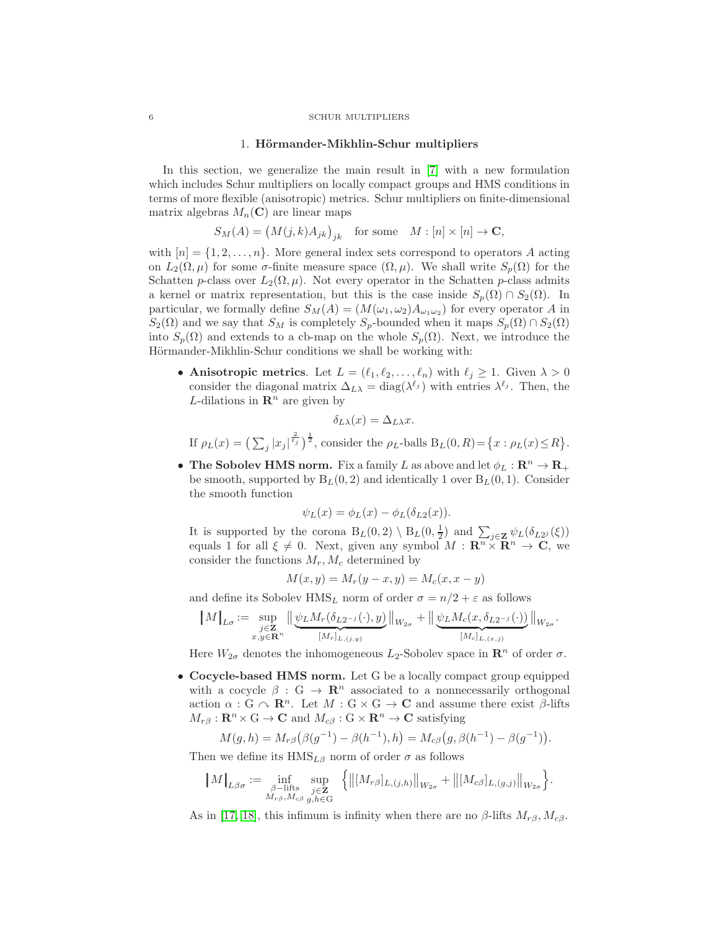#### 1. Hörmander-Mikhlin-Schur multipliers

<span id="page-5-0"></span>In this section, we generalize the main result in [\[7\]](#page-25-13) with a new formulation which includes Schur multipliers on locally compact groups and HMS conditions in terms of more flexible (anisotropic) metrics. Schur multipliers on finite-dimensional matrix algebras  $M_n(\mathbf{C})$  are linear maps

$$
S_M(A) = (M(j,k)A_{jk})_{jk} \text{ for some } M : [n] \times [n] \to \mathbf{C},
$$

with  $[n] = \{1, 2, \ldots, n\}$ . More general index sets correspond to operators A acting on  $L_2(\Omega, \mu)$  for some  $\sigma$ -finite measure space  $(\Omega, \mu)$ . We shall write  $S_p(\Omega)$  for the Schatten p-class over  $L_2(\Omega, \mu)$ . Not every operator in the Schatten p-class admits a kernel or matrix representation, but this is the case inside  $S_p(\Omega) \cap S_2(\Omega)$ . In particular, we formally define  $S_M(A) = (M(\omega_1, \omega_2) A_{\omega_1 \omega_2})$  for every operator A in  $S_2(\Omega)$  and we say that  $S_M$  is completely  $S_p$ -bounded when it maps  $S_p(\Omega) \cap S_2(\Omega)$ into  $S_p(\Omega)$  and extends to a cb-map on the whole  $S_p(\Omega)$ . Next, we introduce the Hörmander-Mikhlin-Schur conditions we shall be working with:

• Anisotropic metrics. Let  $L = (\ell_1, \ell_2, \ldots, \ell_n)$  with  $\ell_j \geq 1$ . Given  $\lambda > 0$ consider the diagonal matrix  $\Delta_{L\lambda} = \text{diag}(\lambda^{\ell_j})$  with entries  $\lambda^{\ell_j}$ . Then, the L-dilations in  $\mathbb{R}^n$  are given by

$$
\delta_{L\lambda}(x) = \Delta_{L\lambda} x.
$$

If  $\rho_L(x) = \left(\sum_j |x_j|^{\frac{2}{\ell_j}}\right)^{\frac{1}{2}}$ , consider the  $\rho_L$ -balls  $B_L(0, R) = \{x : \rho_L(x) \le R\}$ .

• The Sobolev HMS norm. Fix a family L as above and let  $\phi_L : \mathbb{R}^n \to \mathbb{R}_+$ be smooth, supported by  $B_L(0, 2)$  and identically 1 over  $B_L(0, 1)$ . Consider the smooth function

$$
\psi_L(x) = \phi_L(x) - \phi_L(\delta_{L2}(x)).
$$

It is supported by the corona  $B_L(0, 2) \setminus B_L(0, \frac{1}{2})$  and  $\sum_{j \in \mathbf{Z}} \psi_L(\delta_{L2^j}(\xi))$ equals 1 for all  $\xi \neq 0$ . Next, given any symbol  $M : \mathbb{R}^n \times \mathbb{R}^n \to \mathbb{C}$ , we consider the functions  $M_r, M_c$  determined by

$$
M(x, y) = M_r(y - x, y) = M_c(x, x - y)
$$

and define its Sobolev HMS<sub>L</sub> norm of order  $\sigma = n/2 + \varepsilon$  as follows

$$
\|M\|_{L\sigma}:=\sup_{\substack{j\in \mathbf{Z}\\ x,y\in \mathbf{R}^n}}\|\underbrace{\psi_L M_r(\delta_{L2^{-j}}(\cdot),y)}_{[M_r]_{L,(j,y)}}\|_{W_{2\sigma}}+\|\underbrace{\psi_L M_c(x,\delta_{L2^{-j}}(\cdot))}_{[M_c]_{L,(x,j)}}\|_{W_{2\sigma}}.
$$

Here  $W_{2\sigma}$  denotes the inhomogeneous  $L_2$ -Sobolev space in  $\mathbb{R}^n$  of order  $\sigma$ .

• Cocycle-based HMS norm. Let G be a locally compact group equipped with a cocycle  $\beta : G \to \mathbb{R}^n$  associated to a nonnecessarily orthogonal action  $\alpha$ : G  $\sim \mathbb{R}^n$ . Let  $M : G \times G \to \mathbb{C}$  and assume there exist  $\beta$ -lifts  $M_{r\beta}: \mathbf{R}^n \times \mathbf{G} \to \mathbf{C}$  and  $M_{c\beta}: \mathbf{G} \times \mathbf{R}^n \to \mathbf{C}$  satisfying

$$
M(g, h) = M_{r\beta}(\beta(g^{-1}) - \beta(h^{-1}), h) = M_{c\beta}(g, \beta(h^{-1}) - \beta(g^{-1})).
$$

Then we define its  $HMS_{L\beta}$  norm of order  $\sigma$  as follows

$$
\|M\|_{L\beta\sigma} := \inf_{\substack{\beta-\text{lifts} \\ M_{r\beta}, M_{c\beta}}} \sup_{\substack{j\in \mathbf{Z} \\ g,h\in \mathbf{G}}} \left\{ \left\| [M_{r\beta}]_{L,(j,h)} \right\|_{W_{2\sigma}} + \left\| [M_{c\beta}]_{L,(g,j)} \right\|_{W_{2\sigma}} \right\}.
$$

As in [\[17,](#page-25-8) [18\]](#page-25-9), this infimum is infinity when there are no  $\beta$ -lifts  $M_{r\beta}$ ,  $M_{c\beta}$ .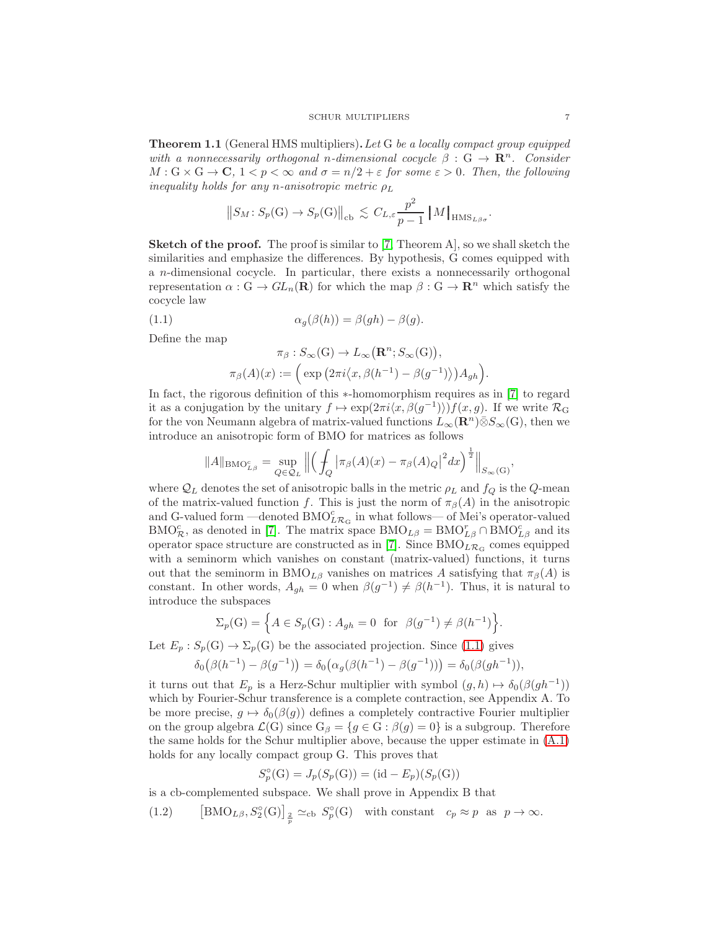<span id="page-6-2"></span>Theorem 1.1 (General HMS multipliers).Let G be a locally compact group equipped with a nonnecessarily orthogonal n-dimensional cocycle  $\beta : G \to \mathbb{R}^n$ . Consider  $M: G \times G \to \mathbf{C}, 1 < p < \infty$  and  $\sigma = n/2 + \varepsilon$  for some  $\varepsilon > 0$ . Then, the following inequality holds for any n-anisotropic metric  $\rho_L$ 

$$
||S_M: S_p(G) \to S_p(G)||_{cb} \lesssim C_{L,\varepsilon} \frac{p^2}{p-1} ||M||_{HMS_{L\beta\sigma}}.
$$

**Sketch of the proof.** The proof is similar to [\[7,](#page-25-13) Theorem A], so we shall sketch the similarities and emphasize the differences. By hypothesis, G comes equipped with a n-dimensional cocycle. In particular, there exists a nonnecessarily orthogonal representation  $\alpha$  :  $G \to GL_n(\mathbf{R})$  for which the map  $\beta : G \to \mathbf{R}^n$  which satisfy the cocycle law

(1.1) 
$$
\alpha_g(\beta(h)) = \beta(gh) - \beta(g).
$$

Define the map

<span id="page-6-0"></span>
$$
\pi_{\beta}: S_{\infty}(\mathcal{G}) \to L_{\infty}(\mathbf{R}^n; S_{\infty}(\mathcal{G})),
$$
  

$$
\pi_{\beta}(A)(x) := \left( \exp \left( 2\pi i \langle x, \beta(h^{-1}) - \beta(g^{-1}) \rangle \right) A_{gh} \right).
$$

In fact, the rigorous definition of this ∗-homomorphism requires as in [\[7\]](#page-25-13) to regard it as a conjugation by the unitary  $f \mapsto \exp(2\pi i \langle x, \beta(g^{-1}) \rangle) f(x, g)$ . If we write  $\mathcal{R}_G$ for the von Neumann algebra of matrix-valued functions  $L_{\infty}(\mathbf{R}^n)\bar{\otimes}S_{\infty}(G)$ , then we introduce an anisotropic form of BMO for matrices as follows

$$
||A||_{\text{BMO}_{L\beta}^c} = \sup_{Q \in \mathcal{Q}_L} \left\| \left( \int_Q |\pi_\beta(A)(x) - \pi_\beta(A)_Q|^2 dx \right)^{\frac{1}{2}} \right\|_{S_\infty(G)}
$$

where  $\mathcal{Q}_L$  denotes the set of anisotropic balls in the metric  $\rho_L$  and  $f_Q$  is the Q-mean of the matrix-valued function f. This is just the norm of  $\pi_{\beta}(A)$  in the anisotropic and G-valued form —denoted  ${\rm BMO}_{L\mathcal{R}_\mathrm{G}}^c$  in what follows— of Mei's operator-valued BMO<sub> $c$ </sub>, as denoted in [\[7\]](#page-25-13). The matrix space BMO<sub>Lβ</sub> = BMO<sub>Lβ</sub> ∩ BMO<sub>Lβ</sub> and its operator space structure are constructed as in [\[7\]](#page-25-13). Since  $BMO_{L\mathcal{R}_G}$  comes equipped with a seminorm which vanishes on constant (matrix-valued) functions, it turns out that the seminorm in BMO<sub>Lβ</sub> vanishes on matrices A satisfying that  $\pi_{\beta}(A)$  is constant. In other words,  $A_{gh} = 0$  when  $\beta(g^{-1}) \neq \beta(h^{-1})$ . Thus, it is natural to introduce the subspaces

$$
\Sigma_p(G) = \left\{ A \in S_p(G) : A_{gh} = 0 \text{ for } \beta(g^{-1}) \neq \beta(h^{-1}) \right\}.
$$

Let  $E_p : S_p(G) \to \Sigma_p(G)$  be the associated projection. Since [\(1.1\)](#page-6-0) gives

$$
\delta_0(\beta(h^{-1}) - \beta(g^{-1})) = \delta_0(\alpha_g(\beta(h^{-1}) - \beta(g^{-1}))) = \delta_0(\beta(gh^{-1})),
$$

it turns out that  $E_p$  is a Herz-Schur multiplier with symbol  $(g, h) \mapsto \delta_0(\beta(gh^{-1}))$ which by Fourier-Schur transference is a complete contraction, see Appendix A. To be more precise,  $g \mapsto \delta_0(\beta(g))$  defines a completely contractive Fourier multiplier on the group algebra  $\mathcal{L}(G)$  since  $G_\beta = \{g \in G : \beta(g) = 0\}$  is a subgroup. Therefore the same holds for the Schur multiplier above, because the upper estimate in [\(A.1\)](#page-22-0) holds for any locally compact group G. This proves that

$$
S_p^{\circ}(\mathcal{G}) = J_p(S_p(\mathcal{G})) = (\mathrm{id} - E_p)(S_p(\mathcal{G}))
$$

is a cb-complemented subspace. We shall prove in Appendix B that

<span id="page-6-1"></span>(1.2) 
$$
[BMO_{L\beta}, S_2^{\circ}(G)]_{\frac{2}{p}} \simeq_{cb} S_p^{\circ}(G) \text{ with constant } c_p \approx p \text{ as } p \to \infty.
$$

,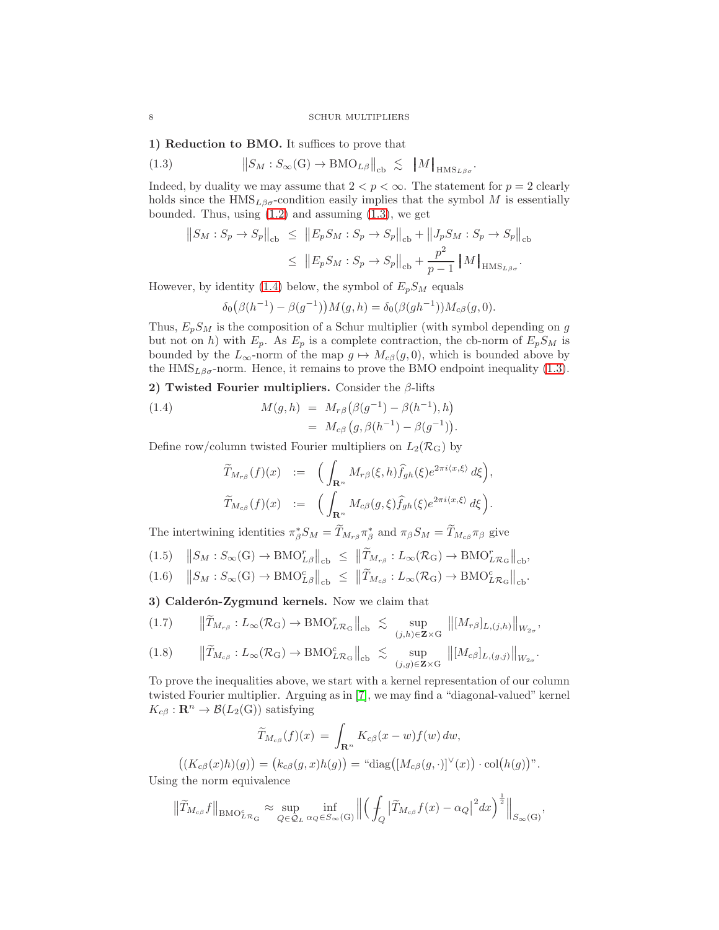.

1) Reduction to BMO. It suffices to prove that

(1.3) 
$$
\|S_M : S_{\infty}(\mathcal{G}) \to \text{BMO}_{L\beta}\|_{\text{cb}} \lesssim \|M\|_{\text{HMS}_{L\beta\sigma}}
$$

Indeed, by duality we may assume that  $2 < p < \infty$ . The statement for  $p = 2$  clearly holds since the  $HMS_{L\beta\sigma}$ -condition easily implies that the symbol M is essentially bounded. Thus, using  $(1.2)$  and assuming  $(1.3)$ , we get

<span id="page-7-0"></span>
$$
||S_M : S_p \to S_p||_{cb} \leq ||E_p S_M : S_p \to S_p||_{cb} + ||J_p S_M : S_p \to S_p||_{cb}
$$
  

$$
\leq ||E_p S_M : S_p \to S_p||_{cb} + \frac{p^2}{p-1} ||M||_{HMS_{L\beta\sigma}}.
$$

However, by identity [\(1.4\)](#page-7-1) below, the symbol of  $E_pS_M$  equals

$$
\delta_0(\beta(h^{-1}) - \beta(g^{-1}))M(g, h) = \delta_0(\beta(gh^{-1}))M_{c\beta}(g, 0).
$$

Thus,  $E_pS_M$  is the composition of a Schur multiplier (with symbol depending on g but not on h) with  $E_p$ . As  $E_p$  is a complete contraction, the cb-norm of  $E_pS_M$  is bounded by the  $L_{\infty}$ -norm of the map  $g \mapsto M_{c}g(g, 0)$ , which is bounded above by the  $HMS_{L\beta\sigma}$ -norm. Hence, it remains to prove the BMO endpoint inequality [\(1.3\)](#page-7-0).

2) Twisted Fourier multipliers. Consider the  $\beta$ -lifts

(1.4) 
$$
M(g, h) = M_{r\beta}(\beta(g^{-1}) - \beta(h^{-1}), h) = M_{c\beta}(g, \beta(h^{-1}) - \beta(g^{-1})).
$$

Define row/column twisted Fourier multipliers on  $L_2(\mathcal{R}_G)$  by

<span id="page-7-1"></span>
$$
\widetilde{T}_{M_{r\beta}}(f)(x) := \left( \int_{\mathbf{R}^n} M_{r\beta}(\xi, h) \widehat{f}_{gh}(\xi) e^{2\pi i \langle x, \xi \rangle} d\xi \right),
$$
  

$$
\widetilde{T}_{M_{c\beta}}(f)(x) := \left( \int_{\mathbf{R}^n} M_{c\beta}(g, \xi) \widehat{f}_{gh}(\xi) e^{2\pi i \langle x, \xi \rangle} d\xi \right).
$$

The intertwining identities  $\pi_{\beta}^* S_M = T_{M_{r\beta}} \pi_{\beta}^*$  and  $\pi_{\beta} S_M = T_{M_{c\beta}} \pi_{\beta}$  give

<span id="page-7-3"></span>
$$
(1.5) \quad ||S_M : S_{\infty}(\mathbf{G}) \to \mathbf{BMO}_{L\beta}^r||_{\mathrm{cb}} \le ||\widetilde{T}_{M_{r\beta}} : L_{\infty}(\mathcal{R}_{\mathbf{G}}) \to \mathbf{BMO}_{L\mathcal{R}_{\mathbf{G}}}^r||_{\mathrm{cb}},
$$

$$
(1.6)\quad \left\|S_M : S_\infty(G) \to \text{BMO}_{L\beta}^c\right\|_{\text{cb}} \leq \left\|\widetilde{T}_{M_{c\beta}} : L_\infty(\mathcal{R}_G) \to \text{BMO}_{L\mathcal{R}_G}^c\right\|_{\text{cb}}.
$$

3) Calderón-Zygmund kernels. Now we claim that

<span id="page-7-2"></span>
$$
(1.7) \qquad \left\|\widetilde{T}_{M_{r\beta}}: L_{\infty}(\mathcal{R}_{\mathrm{G}}) \to \mathrm{BMO}_{L\mathcal{R}_{\mathrm{G}}}^r\right\|_{\mathrm{cb}} \leq \sup_{(j,h)\in \mathbf{Z}\times\mathrm{G}} \left\|[M_{r\beta}]_{L,(j,h)}\right\|_{W_{2\sigma}},
$$

$$
(1.8) \qquad \|\widetilde{T}_{M_{c\beta}}: L_{\infty}(\mathcal{R}_{\mathrm{G}}) \to \mathrm{BMO}_{L\mathcal{R}_{\mathrm{G}}}^c\|_{\mathrm{cb}} \ \lesssim \ \sup_{(j,g)\in \mathbf{Z}\times\mathrm{G}} \ \| [M_{c\beta}]_{L,(g,j)} \|_{W_{2\sigma}}.
$$

To prove the inequalities above, we start with a kernel representation of our column twisted Fourier multiplier. Arguing as in [\[7\]](#page-25-13), we may find a "diagonal-valued" kernel  $K_{c\beta}: \mathbf{R}^n \to \mathcal{B}(L_2(G))$  satisfying

$$
\widetilde{T}_{M_{c\beta}}(f)(x) = \int_{\mathbf{R}^n} K_{c\beta}(x - w) f(w) \, dw,
$$

$$
((K_{c\beta}(x)h)(g)) = (k_{c\beta}(g, x)h(g)) = \text{``diag}([M_{c\beta}(g, \cdot)]^{\vee}(x)) \cdot \text{col}(h(g))^{n}.
$$

Using the norm equivalence

$$
\left\|\widetilde{T}_{M_{c\beta}}f\right\|_{\text{BMO}_{L\mathcal{R}_G}^c} \approx \sup_{Q\in\mathcal{Q}_L} \inf_{\alpha_Q\in S_\infty(G)} \left\|\left(\int_Q \left|\widetilde{T}_{M_{c\beta}}f(x) - \alpha_Q\right|^2 dx\right)^{\frac{1}{2}}\right\|_{S_\infty(G)},
$$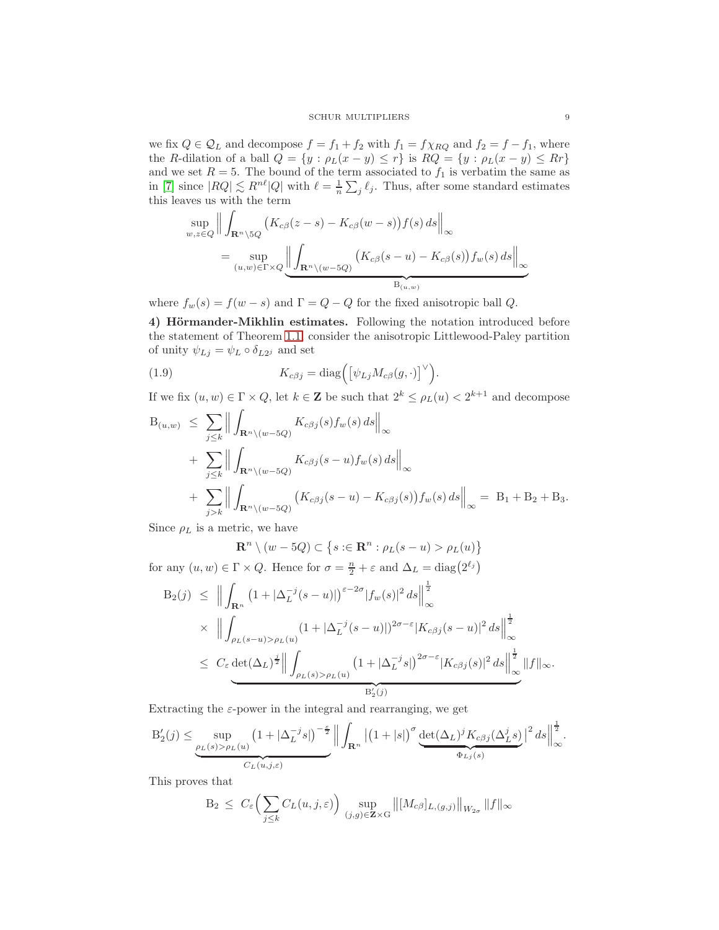we fix  $Q \in \mathcal{Q}_L$  and decompose  $f = f_1 + f_2$  with  $f_1 = f \chi_{RQ}$  and  $f_2 = f - f_1$ , where the R-dilation of a ball  $Q = \{y : \rho_L(x - y) \le r\}$  is  $RQ = \{y : \rho_L(x - y) \le Rr\}$ and we set  $R = 5$ . The bound of the term associated to  $f_1$  is verbatim the same as in [\[7\]](#page-25-13) since  $|RQ| \lesssim R^{n\ell} |Q|$  with  $\ell = \frac{1}{n} \sum_j \ell_j$ . Thus, after some standard estimates this leaves us with the term

$$
\sup_{w,z\in Q} \left\| \int_{\mathbf{R}^n \setminus 5Q} \left( K_{c\beta}(z-s) - K_{c\beta}(w-s) \right) f(s) \, ds \right\|_{\infty}
$$
\n
$$
= \sup_{(u,w)\in \Gamma \times Q} \left\| \int_{\mathbf{R}^n \setminus (w-5Q)} \left( K_{c\beta}(s-u) - K_{c\beta}(s) \right) f_w(s) \, ds \right\|_{\infty}
$$

where  $f_w(s) = f(w - s)$  and  $\Gamma = Q - Q$  for the fixed anisotropic ball Q.

4) Hörmander-Mikhlin estimates. Following the notation introduced before the statement of Theorem [1.1,](#page-6-2) consider the anisotropic Littlewood-Paley partition of unity  $\psi_{Lj} = \psi_L \circ \delta_{L2j}$  and set

<span id="page-8-0"></span>(1.9) 
$$
K_{c\beta j} = \text{diag}\Big(\big[\psi_{Lj} M_{c\beta}(g, \cdot)\big]^{\vee}\Big).
$$

If we fix  $(u, w) \in \Gamma \times Q$ , let  $k \in \mathbb{Z}$  be such that  $2^k \leq \rho_L(u) < 2^{k+1}$  and decompose

$$
B_{(u,w)} \leq \sum_{j\leq k} \left\| \int_{\mathbf{R}^n \setminus (w-5Q)} K_{c\beta j}(s) f_w(s) ds \right\|_{\infty}
$$
  
+ 
$$
\sum_{j\leq k} \left\| \int_{\mathbf{R}^n \setminus (w-5Q)} K_{c\beta j}(s-u) f_w(s) ds \right\|_{\infty}
$$
  
+ 
$$
\sum_{j>k} \left\| \int_{\mathbf{R}^n \setminus (w-5Q)} (K_{c\beta j}(s-u) - K_{c\beta j}(s)) f_w(s) ds \right\|_{\infty} = B_1 + B_2 + B_3.
$$

Since  $\rho_L$  is a metric, we have

$$
\mathbf{R}^n \setminus (w - 5Q) \subset \{ s : \in \mathbf{R}^n : \rho_L(s - u) > \rho_L(u) \}
$$

for any  $(u, w) \in \Gamma \times Q$ . Hence for  $\sigma = \frac{n}{2} + \varepsilon$  and  $\Delta_L = \text{diag}(2^{\ell_j})$ 

$$
B_2(j) \leq \Big\| \int_{\mathbf{R}^n} \left( 1 + |\Delta_L^{-j}(s-u)| \right)^{\varepsilon - 2\sigma} |f_w(s)|^2 ds \Big\|_{\infty}^{\frac{1}{2}}
$$
  
\$\times \Big\| \int\_{\rho\_L(s-u) > \rho\_L(u)} \left( 1 + |\Delta\_L^{-j}(s-u)| \right)^{2\sigma - \varepsilon} |K\_{c\beta j}(s-u)|^2 ds \Big\|\_{\infty}^{\frac{1}{2}}\Big\| \int\_{\rho\_L(s) > \rho\_L(u)} \left( 1 + |\Delta\_L^{-j}s| \right)^{2\sigma - \varepsilon} |K\_{c\beta j}(s)|^2 ds \Big\|\_{\infty}^{\frac{1}{2}} \|f\|\_{\infty}.

Extracting the  $\varepsilon$ -power in the integral and rearranging, we get

$$
B'_{2}(j) \leq \underbrace{\sup_{\rho_{L}(s) > \rho_{L}(u)} \left(1 + |\Delta_{L}^{-j}s|\right)^{-\frac{\varepsilon}{2}}}_{C_{L}(u,j,\varepsilon)} \left\| \int_{\mathbf{R}^{n}} \left|(1+|s|\right)^{\sigma} \underbrace{\det(\Delta_{L})^{j} K_{c\beta j}(\Delta_{L}^{j}s)}_{\Phi_{Lj}(s)}\right\|^{2} ds \right\|_{\infty}^{\frac{1}{2}}.
$$

This proves that

$$
B_2 \leq C_{\varepsilon} \Big( \sum_{j \leq k} C_L(u,j,\varepsilon) \Big) \sup_{(j,g) \in \mathbf{Z} \times G} ||[M_{c\beta}]_{L,(g,j)}||_{W_{2\sigma}} ||f||_{\infty}
$$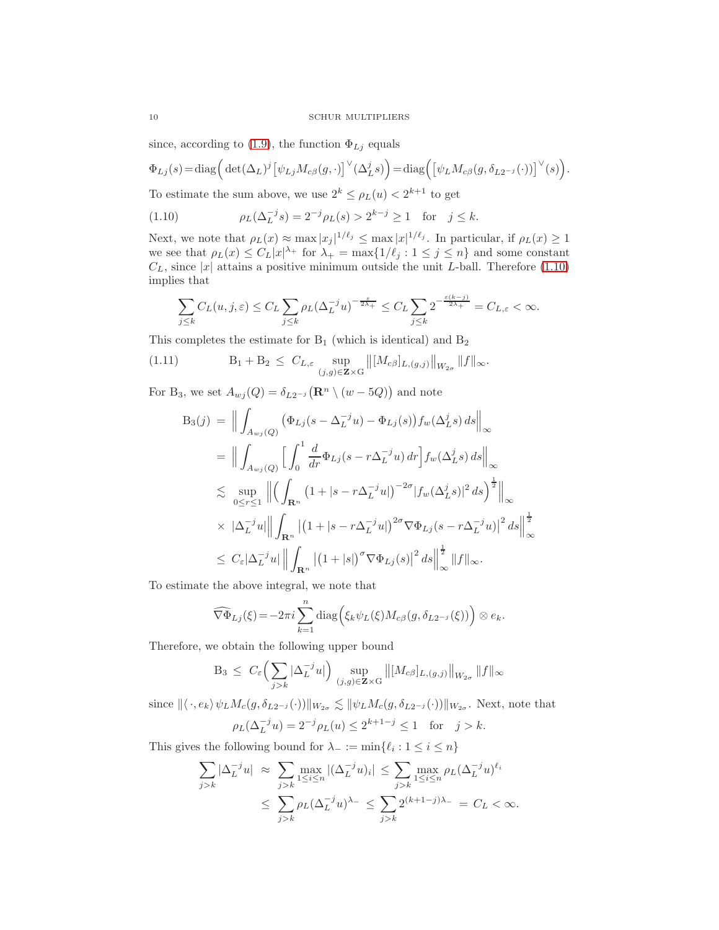since, according to [\(1.9\)](#page-8-0), the function  $\Phi_{Lj}$  equals

$$
\Phi_{Lj}(s) = \text{diag}\Big(\det(\Delta_L)^j \big[\psi_{Lj} M_{c\beta}(g,\cdot)\big]^{\vee}(\Delta_L^j s)\Big) = \text{diag}\Big(\big[\psi_L M_{c\beta}(g,\delta_{L2^{-j}}(\cdot))\big]^{\vee}(s)\Big).
$$

To estimate the sum above, we use  $2^k \le \rho_L(u) < 2^{k+1}$  to get

<span id="page-9-0"></span>(1.10)  $\rho_L(\Delta_L^{-j}s) = 2^{-j}\rho_L(s) > 2^{k-j} \ge 1$  for  $j \le k$ .

Next, we note that  $\rho_L(x) \approx \max |x_j|^{1/\ell_j} \leq \max |x|^{1/\ell_j}$ . In particular, if  $\rho_L(x) \geq 1$ we see that  $\rho_L(x) \leq C_L |x|^{\lambda_+}$  for  $\lambda_+ = \max\{1/\ell_j : 1 \leq j \leq n\}$  and some constant  $C_L$ , since |x| attains a positive minimum outside the unit L-ball. Therefore [\(1.10\)](#page-9-0) implies that

$$
\sum_{j\leq k}C_L(u,j,\varepsilon)\leq C_L\sum_{j\leq k}\rho_L(\Delta_L^{-j}u)^{-\frac{\varepsilon}{2\lambda_+}}\leq C_L\sum_{j\leq k}2^{-\frac{\varepsilon(k-j)}{2\lambda_+}}=C_{L,\varepsilon}<\infty.
$$

This completes the estimate for  $B_1$  (which is identical) and  $B_2$ 

(1.11) 
$$
B_1 + B_2 \leq C_{L,\varepsilon} \sup_{(j,g) \in \mathbf{Z} \times G} ||[M_{c\beta}]_{L,(g,j)}||_{W_{2\sigma}} ||f||_{\infty}.
$$

For B<sub>3</sub>, we set  $A_{wj}(Q) = \delta_{L2^{-j}} (\mathbf{R}^n \setminus (w - 5Q))$  and note

<span id="page-9-1"></span>
$$
B_{3}(j) = \Big\|\int_{A_{wj}(Q)} (\Phi_{Lj}(s - \Delta_{L}^{-j}u) - \Phi_{Lj}(s))f_{w}(\Delta_{L}^{j}s) ds\Big\|_{\infty}
$$
  
\n
$$
= \Big\|\int_{A_{wj}(Q)} \Big[\int_{0}^{1} \frac{d}{dr}\Phi_{Lj}(s - r\Delta_{L}^{-j}u) dr \Big] f_{w}(\Delta_{L}^{j}s) ds\Big\|_{\infty}
$$
  
\n
$$
\lesssim \sup_{0 \leq r \leq 1} \Big\|\Big(\int_{\mathbf{R}^{n}} (1 + |s - r\Delta_{L}^{-j}u|)^{-2\sigma} |f_{w}(\Delta_{L}^{j}s)|^{2} ds\Big)^{\frac{1}{2}}\Big\|_{\infty}
$$
  
\n
$$
\times |\Delta_{L}^{-j}u| \Big\|\int_{\mathbf{R}^{n}} |(1 + |s - r\Delta_{L}^{-j}u|)^{2\sigma} \nabla \Phi_{Lj}(s - r\Delta_{L}^{-j}u)|^{2} ds\Big\|_{\infty}^{\frac{1}{2}}
$$
  
\n
$$
\leq C_{\varepsilon} |\Delta_{L}^{-j}u| \Big\|\int_{\mathbf{R}^{n}} |(1 + |s|)^{\sigma} \nabla \Phi_{Lj}(s)|^{2} ds\Big\|_{\infty}^{\frac{1}{2}} \|f\|_{\infty}.
$$

To estimate the above integral, we note that

$$
\widehat{\nabla\Phi}_{Lj}(\xi) = -2\pi i \sum_{k=1}^n \text{diag}\Big(\xi_k \psi_L(\xi) M_{c\beta}(g, \delta_{L2^{-j}}(\xi))\Big) \otimes e_k.
$$

Therefore, we obtain the following upper bound

$$
B_3 \leq C_{\varepsilon} \Big( \sum_{j>k} |\Delta_{L}^{-j} u| \Big) \sup_{(j,g) \in \mathbf{Z} \times G} ||[M_{c\beta}]_{L,(g,j)}||_{W_{2\sigma}} ||f||_{\infty}
$$

since  $\langle \langle \cdot, e_k \rangle \psi_L M_c(g, \delta_{L2^{-j}}(\cdot)) \rangle \|_{W_{2\sigma}} \lesssim \| \psi_L M_c(g, \delta_{L2^{-j}}(\cdot)) \|_{W_{2\sigma}}$ . Next, note that  $\rho_L(\Delta_L^{-j}u) = 2^{-j}\rho_L(u) \leq 2^{k+1-j} \leq 1$  for  $j > k$ .

This gives the following bound for  $\lambda_- := \min\{\ell_i : 1 \leq i \leq n\}$ 

$$
\sum_{j>k} |\Delta_L^{-j} u| \approx \sum_{j>k} \max_{1 \le i \le n} |(\Delta_L^{-j} u)_i| \le \sum_{j>k} \max_{1 \le i \le n} \rho_L (\Delta_L^{-j} u)^{\ell_i}
$$
  

$$
\le \sum_{j>k} \rho_L (\Delta_L^{-j} u)^{\lambda_-} \le \sum_{j>k} 2^{(k+1-j)\lambda_-} = C_L < \infty.
$$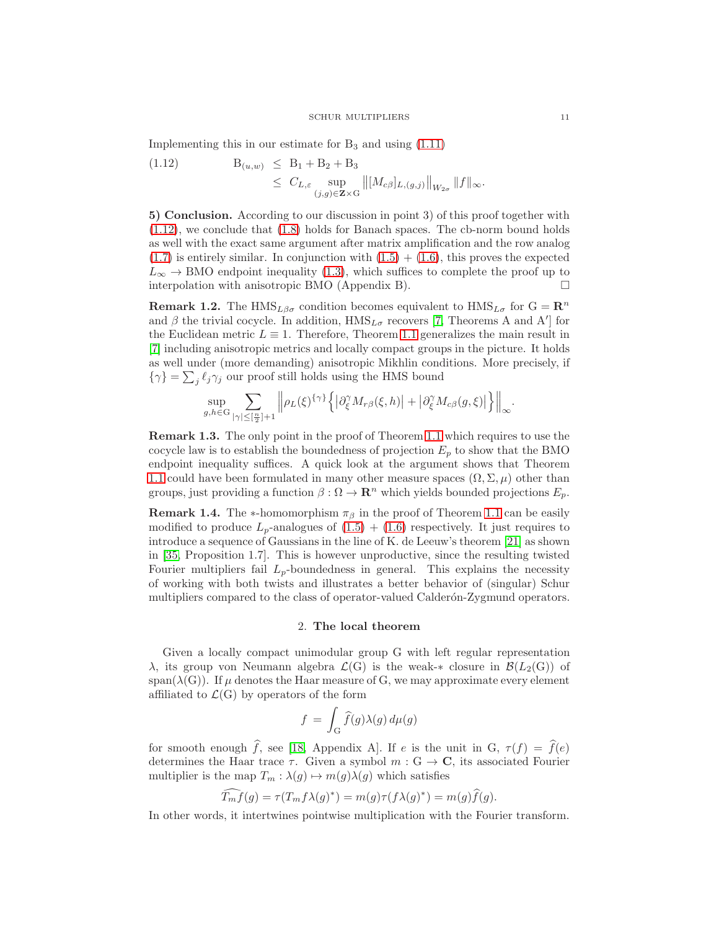Implementing this in our estimate for  $B_3$  and using  $(1.11)$ 

<span id="page-10-1"></span>
$$
\begin{array}{lll} \text{(1.12)} & \text{B}_{(u,w)} \leq \text{B}_1 + \text{B}_2 + \text{B}_3 \\ & \leq \text{C}_{L,\varepsilon} \sup_{(j,g)\in \mathbf{Z}\times\mathbf{G}} \left\| [M_{c\beta}]_{L,(g,j)} \right\|_{W_{2\sigma}} \|f\|_{\infty} .\end{array}
$$

5) Conclusion. According to our discussion in point 3) of this proof together with [\(1.12\)](#page-10-1), we conclude that [\(1.8\)](#page-7-2) holds for Banach spaces. The cb-norm bound holds as well with the exact same argument after matrix amplification and the row analog  $(1.7)$  is entirely similar. In conjunction with  $(1.5) + (1.6)$  $(1.5) + (1.6)$ , this proves the expected  $L_{\infty} \to$  BMO endpoint inequality [\(1.3\)](#page-7-0), which suffices to complete the proof up to interpolation with anisotropic BMO (Appendix B). interpolation with anisotropic BMO (Appendix B).

<span id="page-10-2"></span>**Remark 1.2.** The HMS<sub>L $\beta\sigma$ </sub> condition becomes equivalent to HMS<sub>L $\sigma$ </sub> for  $G = \mathbb{R}^n$ and  $\beta$  the trivial cocycle. In addition,  $HMS_{L\sigma}$  recovers [\[7,](#page-25-13) Theorems A and A'] for the Euclidean metric  $L \equiv 1$ . Therefore, Theorem [1.1](#page-6-2) generalizes the main result in [\[7\]](#page-25-13) including anisotropic metrics and locally compact groups in the picture. It holds as well under (more demanding) anisotropic Mikhlin conditions. More precisely, if  $\{\gamma\}=\sum_j \ell_j\gamma_j$  our proof still holds using the HMS bound

$$
\sup_{g,h\in G}\sum_{|\gamma|\leq [\frac{n}{2}]+1}\left\|\rho_L(\xi)^{\{\gamma\}}\left\{\left|\partial_\xi^\gamma M_{r\beta}(\xi,h)\right|+\left|\partial_\xi^\gamma M_{c\beta}(g,\xi)\right|\right\}\right\|_\infty
$$

Remark 1.3. The only point in the proof of Theorem [1.1](#page-6-2) which requires to use the cocycle law is to establish the boundedness of projection  $E_p$  to show that the BMO endpoint inequality suffices. A quick look at the argument shows that Theorem [1.1](#page-6-2) could have been formulated in many other measure spaces  $(\Omega, \Sigma, \mu)$  other than groups, just providing a function  $\beta : \Omega \to \mathbb{R}^n$  which yields bounded projections  $E_p$ .

**Remark 1.4.** The \*-homomorphism  $\pi_{\beta}$  in the proof of Theorem [1.1](#page-6-2) can be easily modified to produce  $L_p$ -analogues of  $(1.5) + (1.6)$  $(1.5) + (1.6)$  respectively. It just requires to introduce a sequence of Gaussians in the line of K. de Leeuw's theorem [\[21\]](#page-25-24) as shown in [\[35,](#page-26-0) Proposition 1.7]. This is however unproductive, since the resulting twisted Fourier multipliers fail  $L_p$ -boundedness in general. This explains the necessity of working with both twists and illustrates a better behavior of (singular) Schur multipliers compared to the class of operator-valued Calderon-Zygmund operators.

#### 2. The local theorem

<span id="page-10-0"></span>Given a locally compact unimodular group G with left regular representation λ, its group von Neumann algebra  $\mathcal{L}(G)$  is the weak-∗ closure in  $\mathcal{B}(L_2(G))$  of span( $\lambda(G)$ ). If  $\mu$  denotes the Haar measure of G, we may approximate every element affiliated to  $\mathcal{L}(G)$  by operators of the form

$$
f\,=\,\int_{\rm G}\widehat{f}(g)\lambda(g)\,d\mu(g)
$$

for smooth enough  $\hat{f}$ , see [\[18,](#page-25-9) Appendix A]. If e is the unit in G,  $\tau(f) = \hat{f}(e)$ determines the Haar trace  $\tau$ . Given a symbol  $m : G \to \mathbb{C}$ , its associated Fourier multiplier is the map  $T_m : \lambda(g) \mapsto m(g)\lambda(g)$  which satisfies

$$
\widehat{T_m f}(g) = \tau(T_m f \lambda(g)^*) = m(g)\tau(f \lambda(g)^*) = m(g)\widehat{f}(g).
$$

In other words, it intertwines pointwise multiplication with the Fourier transform.

.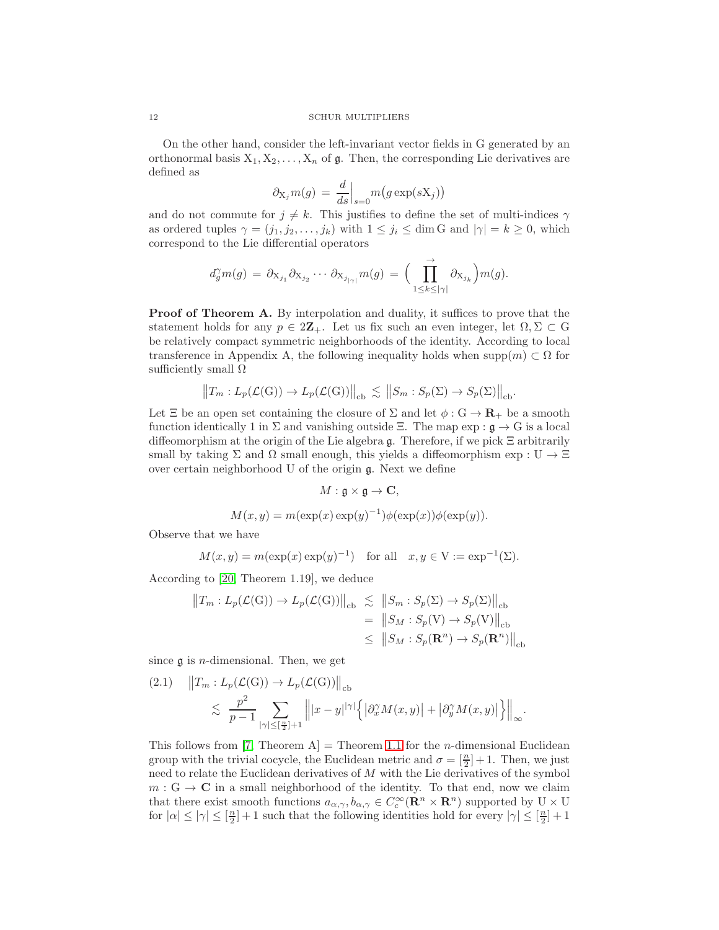On the other hand, consider the left-invariant vector fields in G generated by an orthonormal basis  $X_1, X_2, \ldots, X_n$  of  $\mathfrak{g}$ . Then, the corresponding Lie derivatives are defined as

$$
\partial_{X_j} m(g) = \frac{d}{ds} \Big|_{s=0} m(g \exp(sX_j))
$$

and do not commute for  $j \neq k$ . This justifies to define the set of multi-indices  $\gamma$ as ordered tuples  $\gamma = (j_1, j_2, \dots, j_k)$  with  $1 \leq j_i \leq \dim G$  and  $|\gamma| = k \geq 0$ , which correspond to the Lie differential operators

$$
d_g^{\gamma}m(g) = \partial_{X_{j_1}} \partial_{X_{j_2}} \cdots \partial_{X_{j_{|\gamma|}}} m(g) = \Big(\prod_{1 \leq k \leq |\gamma|}^{\rightarrow} \partial_{X_{j_k}}\Big) m(g).
$$

**Proof of Theorem A.** By interpolation and duality, it suffices to prove that the statement holds for any  $p \in 2\mathbb{Z}_+$ . Let us fix such an even integer, let  $\Omega, \Sigma \subset \mathbb{G}$ be relatively compact symmetric neighborhoods of the identity. According to local transference in Appendix A, the following inequality holds when supp $(m) \subset \Omega$  for sufficiently small  $\Omega$ 

$$
\big\|T_m: L_p(\mathcal{L}(\mathbf{G})) \to L_p(\mathcal{L}(\mathbf{G}))\big\|_{\mathrm{cb}} \lesssim \big\|S_m: S_p(\Sigma) \to S_p(\Sigma)\big\|_{\mathrm{cb}}.
$$

Let  $\Xi$  be an open set containing the closure of  $\Sigma$  and let  $\phi : G \to \mathbf{R}_+$  be a smooth function identically 1 in  $\Sigma$  and vanishing outside  $\Xi$ . The map exp :  $\mathfrak{g} \to G$  is a local diffeomorphism at the origin of the Lie algebra g. Therefore, if we pick Ξ arbitrarily small by taking  $\Sigma$  and  $\Omega$  small enough, this yields a diffeomorphism exp : U  $\rightarrow \Xi$ over certain neighborhood U of the origin g. Next we define

$$
M: \mathfrak{g} \times \mathfrak{g} \to \mathbf{C},
$$

$$
M(x, y) = m(\exp(x) \exp(y)^{-1})\phi(\exp(x))\phi(\exp(y)).
$$

Observe that we have

$$
M(x, y) = m(\exp(x) \exp(y)^{-1})
$$
 for all  $x, y \in V := \exp^{-1}(\Sigma)$ .

According to [\[20,](#page-25-6) Theorem 1.19], we deduce

$$
||T_m: L_p(\mathcal{L}(G)) \to L_p(\mathcal{L}(G))||_{cb} \leq ||S_m: S_p(\Sigma) \to S_p(\Sigma)||_{cb}
$$
  
=  $||S_M: S_p(V) \to S_p(V)||_{cb}$   
 $\leq ||S_M: S_p(\mathbf{R}^n) \to S_p(\mathbf{R}^n)||_{cb}$ 

since  $\mathfrak g$  is *n*-dimensional. Then, we get

<span id="page-11-0"></span>
$$
(2.1) \quad ||T_m: L_p(\mathcal{L}(G)) \to L_p(\mathcal{L}(G))||_{cb} \n\lesssim \frac{p^2}{p-1} \sum_{|\gamma| \leq [\frac{n}{2}]+1} |||x-y||^{|\gamma|} \left\{ |\partial_x^{\gamma} M(x,y)| + |\partial_y^{\gamma} M(x,y)| \right\}||_{\infty}.
$$

This follows from  $|7$ , Theorem A = Theorem [1.1](#page-6-2) for the *n*-dimensional Euclidean group with the trivial cocycle, the Euclidean metric and  $\sigma = \left[\frac{n}{2}\right] + 1$ . Then, we just need to relate the Euclidean derivatives of M with the Lie derivatives of the symbol  $m: G \to \mathbb{C}$  in a small neighborhood of the identity. To that end, now we claim that there exist smooth functions  $a_{\alpha,\gamma}, b_{\alpha,\gamma} \in C_c^{\infty}(\mathbf{R}^n \times \mathbf{R}^n)$  supported by  $U \times U$ for  $|\alpha| \leq |\gamma| \leq [\frac{n}{2}] + 1$  such that the following identities hold for every  $|\gamma| \leq [\frac{n}{2}] + 1$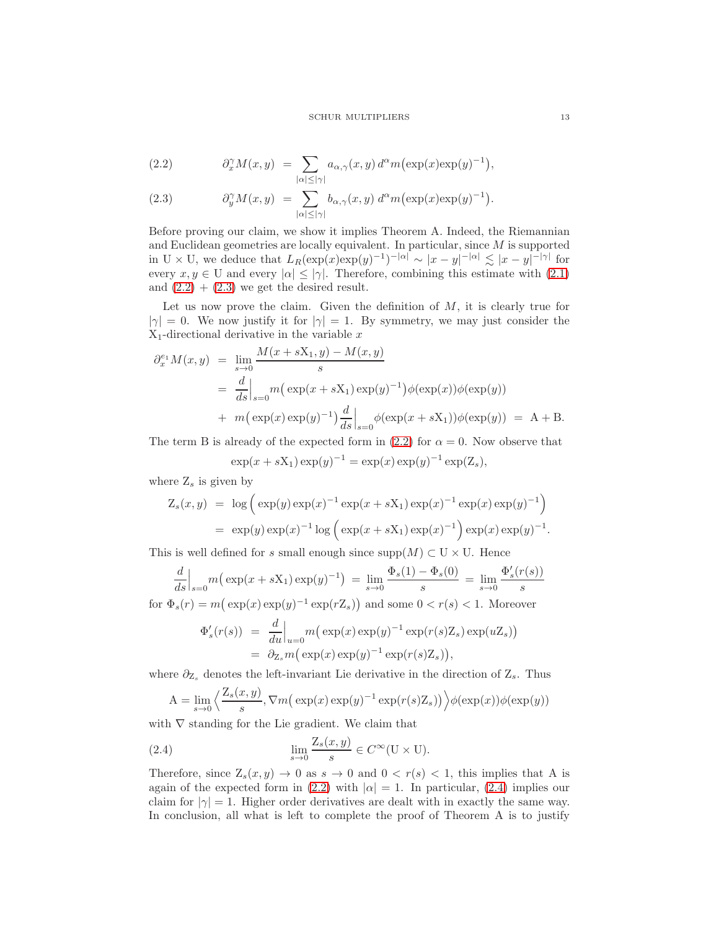<span id="page-12-0"></span>(2.2) 
$$
\partial_x^{\gamma} M(x, y) = \sum_{|\alpha| \leq |\gamma|} a_{\alpha, \gamma}(x, y) d^{\alpha} m(\exp(x) \exp(y)^{-1}),
$$

(2.3) 
$$
\partial_y^{\gamma} M(x, y) = \sum_{|\alpha| \leq |\gamma|} b_{\alpha, \gamma}(x, y) d^{\alpha} m(\exp(x) \exp(y)^{-1}).
$$

Before proving our claim, we show it implies Theorem A. Indeed, the Riemannian and Euclidean geometries are locally equivalent. In particular, since M is supported in U × U, we deduce that  $L_R(\exp(x) \exp(y)^{-1})^{-|\alpha|} \sim |x-y|^{-|\alpha|} \lesssim |x-y|^{-|\gamma|}$  for every  $x, y \in U$  and every  $|\alpha| \leq |\gamma|$ . Therefore, combining this estimate with [\(2.1\)](#page-11-0) and  $(2.2) + (2.3)$  $(2.2) + (2.3)$  we get the desired result.

Let us now prove the claim. Given the definition of  $M$ , it is clearly true for  $|\gamma| = 0$ . We now justify it for  $|\gamma| = 1$ . By symmetry, we may just consider the  $X_1$ -directional derivative in the variable x

$$
\partial_x^{e_1} M(x, y) = \lim_{s \to 0} \frac{M(x + sX_1, y) - M(x, y)}{s}
$$
  
=  $\frac{d}{ds}\Big|_{s=0} m(\exp(x + sX_1) \exp(y)^{-1}) \phi(\exp(x)) \phi(\exp(y))$   
+  $m(\exp(x) \exp(y)^{-1}) \frac{d}{ds}\Big|_{s=0} \phi(\exp(x + sX_1)) \phi(\exp(y)) = A + B.$ 

The term B is already of the expected form in [\(2.2\)](#page-12-0) for  $\alpha = 0$ . Now observe that

$$
\exp(x + sX_1) \exp(y)^{-1} = \exp(x) \exp(y)^{-1} \exp(Z_s),
$$

where  $Z_s$  is given by

$$
Z_s(x, y) = \log \left( \exp(y) \exp(x)^{-1} \exp(x + sX_1) \exp(x)^{-1} \exp(x) \exp(y)^{-1} \right)
$$
  
=  $\exp(y) \exp(x)^{-1} \log \left( \exp(x + sX_1) \exp(x)^{-1} \right) \exp(x) \exp(y)^{-1}.$ 

This is well defined for s small enough since  $\text{supp}(M) \subset U \times U$ . Hence

$$
\frac{d}{ds}\Big|_{s=0} m\big(\exp(x+sX_1)\exp(y)^{-1}\big) = \lim_{s\to 0} \frac{\Phi_s(1) - \Phi_s(0)}{s} = \lim_{s\to 0} \frac{\Phi'_s(r(s))}{s}
$$

for  $\Phi_s(r) = m(\exp(x) \exp(y)^{-1} \exp(rZ_s))$  and some  $0 < r(s) < 1$ . Moreover

$$
\Phi'_s(r(s)) = \frac{d}{du}\Big|_{u=0} m\big(\exp(x)\exp(y)^{-1}\exp(r(s)Z_s)\exp(uZ_s)\big)
$$
  
=  $\partial_{Z_s} m\big(\exp(x)\exp(y)^{-1}\exp(r(s)Z_s)\big),$ 

where  $\partial_{Z_s}$  denotes the left-invariant Lie derivative in the direction of  $Z_s$ . Thus

<span id="page-12-1"></span>
$$
A = \lim_{s \to 0} \left\langle \frac{Z_s(x, y)}{s}, \nabla m\left(\exp(x)\exp(y)^{-1}\exp(r(s)Z_s)\right) \right\rangle \phi(\exp(x))\phi(\exp(y))
$$

with  $\nabla$  standing for the Lie gradient. We claim that

(2.4) 
$$
\lim_{s \to 0} \frac{\mathcal{Z}_s(x, y)}{s} \in C^\infty(\mathcal{U} \times \mathcal{U}).
$$

Therefore, since  $Z_s(x, y) \to 0$  as  $s \to 0$  and  $0 < r(s) < 1$ , this implies that A is again of the expected form in [\(2.2\)](#page-12-0) with  $|\alpha|=1$ . In particular, [\(2.4\)](#page-12-1) implies our claim for  $|\gamma|=1$ . Higher order derivatives are dealt with in exactly the same way. In conclusion, all what is left to complete the proof of Theorem A is to justify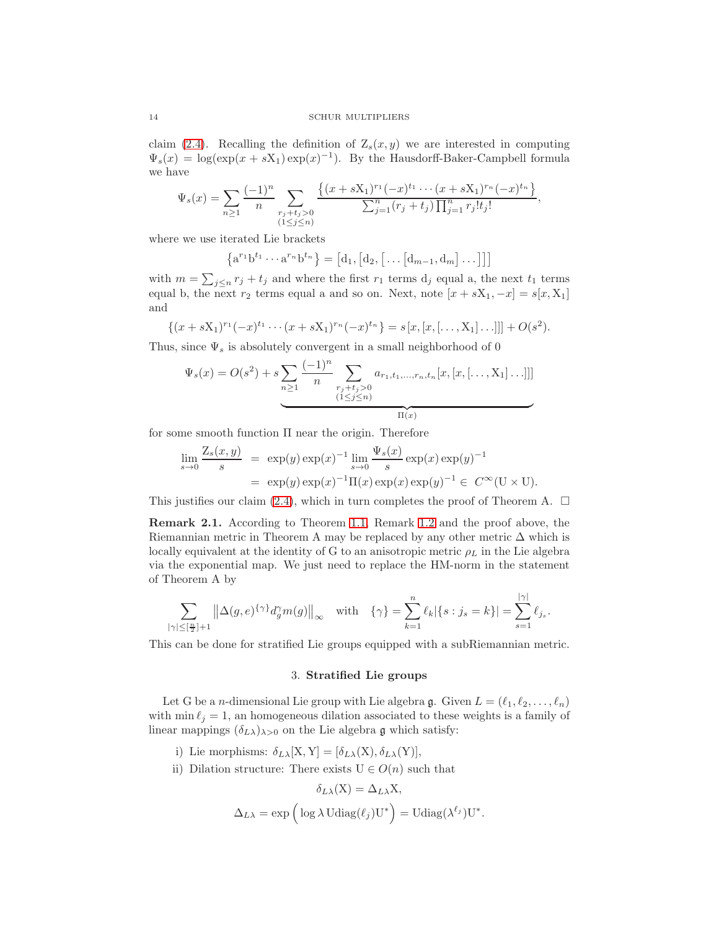claim [\(2.4\)](#page-12-1). Recalling the definition of  $Z_s(x, y)$  we are interested in computing  $\Psi_s(x) = \log(\exp(x + sX_1)\exp(x)^{-1})$ . By the Hausdorff-Baker-Campbell formula we have

$$
\Psi_s(x) = \sum_{n\geq 1} \frac{(-1)^n}{n} \sum_{\substack{r_j+t_j>0\\(1\leq j\leq n)}} \frac{\left\{(x+sX_1)^{r_1}(-x)^{t_1}\cdots(x+sX_1)^{r_n}(-x)^{t_n}\right\}}{\sum_{j=1}^n (r_j+t_j)\prod_{j=1}^n r_j!t_j!},
$$

where we use iterated Lie brackets

$$
\{a^{r_1}b^{t_1}\cdots a^{r_n}b^{t_n}\} = [d_1, [d_2, [\ldots [d_{m-1}, d_m] \ldots]]]
$$

with  $m = \sum_{j \leq n} r_j + t_j$  and where the first  $r_1$  terms  $d_j$  equal a, the next  $t_1$  terms equal b, the next  $r_2$  terms equal a and so on. Next, note  $[x + sX_1, -x] = s[x, X_1]$ and

$$
\{(x+sX_1)^{r_1}(-x)^{t_1}\cdots(x+sX_1)^{r_n}(-x)^{t_n}\} = s[x,[x,[\ldots,X_1]\ldots]]] + O(s^2).
$$

Thus, since  $\Psi_s$  is absolutely convergent in a small neighborhood of 0

$$
\Psi_s(x) = O(s^2) + s \sum_{n \ge 1} \frac{(-1)^n}{n} \sum_{\substack{r_j + t_j > 0 \\ (1 \le j \le n)}} a_{r_1, t_1, \dots, r_n, t_n}[x, [x, [\dots, \mathbf{X}_1] \dots]]]
$$

for some smooth function Π near the origin. Therefore

$$
\lim_{s \to 0} \frac{\mathcal{Z}_s(x, y)}{s} = \exp(y) \exp(x)^{-1} \lim_{s \to 0} \frac{\Psi_s(x)}{s} \exp(x) \exp(y)^{-1}
$$
  
=  $\exp(y) \exp(x)^{-1} \Pi(x) \exp(x) \exp(y)^{-1} \in C^{\infty}(\mathbb{U} \times \mathbb{U}).$ 

This justifies our claim [\(2.4\)](#page-12-1), which in turn completes the proof of Theorem A.  $\Box$ 

<span id="page-13-0"></span>Remark 2.1. According to Theorem [1.1,](#page-6-2) Remark [1.2](#page-10-2) and the proof above, the Riemannian metric in Theorem A may be replaced by any other metric  $\Delta$  which is locally equivalent at the identity of G to an anisotropic metric  $\rho_L$  in the Lie algebra via the exponential map. We just need to replace the HM-norm in the statement of Theorem A by

$$
\sum_{|\gamma| \leq [\frac{n}{2}]+1}\left\|\Delta(g,e)^{\{\gamma\}}d^{\gamma}_{g}m(g)\right\|_{\infty} \quad \text{with} \quad \{\gamma\} = \sum_{k=1}^{n}\ell_{k}|\{s: j_{s}=k\}| = \sum_{s=1}^{|\gamma|}\ell_{j_{s}}.
$$

This can be done for stratified Lie groups equipped with a subRiemannian metric.

### 3. Stratified Lie groups

Let G be a *n*-dimensional Lie group with Lie algebra g. Given  $L = (\ell_1, \ell_2, \ldots, \ell_n)$ with min  $\ell_j = 1$ , an homogeneous dilation associated to these weights is a family of linear mappings  $(\delta_{L\lambda})_{\lambda>0}$  on the Lie algebra g which satisfy:

- i) Lie morphisms:  $\delta_{L\lambda}[X, Y] = [\delta_{L\lambda}(X), \delta_{L\lambda}(Y)],$
- ii) Dilation structure: There exists  $U \in O(n)$  such that

$$
\delta_{L\lambda}(\mathbf{X}) = \Delta_{L\lambda} \mathbf{X},
$$
  

$$
\Delta_{L\lambda} = \exp\left(\log \lambda \operatorname{Udiag}(\ell_j) \mathbf{U}^*\right) = \operatorname{Udiag}(\lambda^{\ell_j}) \mathbf{U}^*.
$$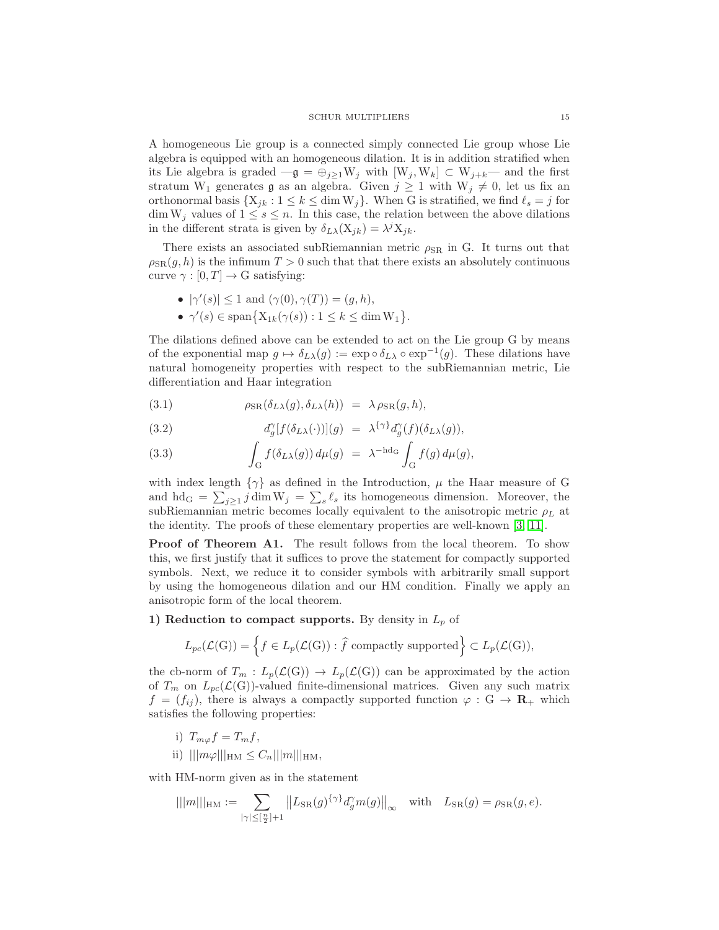A homogeneous Lie group is a connected simply connected Lie group whose Lie algebra is equipped with an homogeneous dilation. It is in addition stratified when its Lie algebra is graded  $-g = \bigoplus_{j\geq 1} W_j$  with  $[W_j, W_k] \subset W_{j+k}$ — and the first stratum W<sub>1</sub> generates **g** as an algebra. Given  $j \geq 1$  with W<sub>j</sub>  $\neq 0$ , let us fix an orthonormal basis  $\{X_{ik} : 1 \leq k \leq \dim W_i\}$ . When G is stratified, we find  $\ell_s = j$  for  $\dim W_j$  values of  $1 \leq s \leq n$ . In this case, the relation between the above dilations in the different strata is given by  $\delta_{L\lambda}(\mathbf{X}_{jk}) = \lambda^j \mathbf{X}_{jk}$ .

There exists an associated subRiemannian metric  $\rho_{\rm SR}$  in G. It turns out that  $\rho_{\rm SR}(g, h)$  is the infimum  $T > 0$  such that that there exists an absolutely continuous curve  $\gamma : [0, T] \to G$  satisfying:

- $|\gamma'(s)| \leq 1$  and  $(\gamma(0), \gamma(T)) = (g, h),$
- $\gamma'(s) \in \text{span}\big\{X_{1k}(\gamma(s)): 1 \leq k \leq \dim W_1\big\}.$

The dilations defined above can be extended to act on the Lie group G by means of the exponential map  $g \mapsto \delta_{L\lambda}(g) := \exp \circ \delta_{L\lambda} \circ \exp^{-1}(g)$ . These dilations have natural homogeneity properties with respect to the subRiemannian metric, Lie differentiation and Haar integration

<span id="page-14-0"></span>(3.1) 
$$
\rho_{\text{SR}}(\delta_{L\lambda}(g), \delta_{L\lambda}(h)) = \lambda \rho_{\text{SR}}(g, h),
$$

(3.2) 
$$
d_g^{\gamma}[f(\delta_{L\lambda}(\cdot))](g) = \lambda^{\{\gamma\}} d_g^{\gamma}(f)(\delta_{L\lambda}(g)),
$$

(3.3) 
$$
\int_G f(\delta_{L\lambda}(g)) d\mu(g) = \lambda^{-h d_G} \int_G f(g) d\mu(g),
$$

with index length  $\{\gamma\}$  as defined in the Introduction,  $\mu$  the Haar measure of G and hd<sub>G</sub> =  $\sum_{j\geq 1} j \dim W_j = \sum_s \ell_s$  its homogeneous dimension. Moreover, the subRiemannian metric becomes locally equivalent to the anisotropic metric  $\rho_L$  at the identity. The proofs of these elementary properties are well-known [\[3,](#page-25-25) [11\]](#page-25-19).

Proof of Theorem A1. The result follows from the local theorem. To show this, we first justify that it suffices to prove the statement for compactly supported symbols. Next, we reduce it to consider symbols with arbitrarily small support by using the homogeneous dilation and our HM condition. Finally we apply an anisotropic form of the local theorem.

## 1) Reduction to compact supports. By density in  $L_p$  of

$$
L_{pc}(\mathcal{L}(G)) = \left\{ f \in L_p(\mathcal{L}(G)) : \hat{f} \text{ compactly supported} \right\} \subset L_p(\mathcal{L}(G)),
$$

the cb-norm of  $T_m: L_p(\mathcal{L}(G)) \to L_p(\mathcal{L}(G))$  can be approximated by the action of  $T_m$  on  $L_{pc}(\mathcal{L}(G))$ -valued finite-dimensional matrices. Given any such matrix  $f = (f_{ij})$ , there is always a compactly supported function  $\varphi : G \to \mathbf{R}_{+}$  which satisfies the following properties:

- i)  $T_{m\varphi}f=T_m f$ ,
- ii)  $|||m\varphi|||_{\text{HM}} \leq C_n |||m|||_{\text{HM}},$

with HM-norm given as in the statement

$$
|||m|||_{\mathrm{HM}} := \sum_{|\gamma| \leq [\frac{n}{2}] + 1} ||L_{\mathrm{SR}}(g)^{\{\gamma\}} d^{\gamma}_{g} m(g)||_{\infty} \quad \text{with} \quad L_{\mathrm{SR}}(g) = \rho_{\mathrm{SR}}(g, e).
$$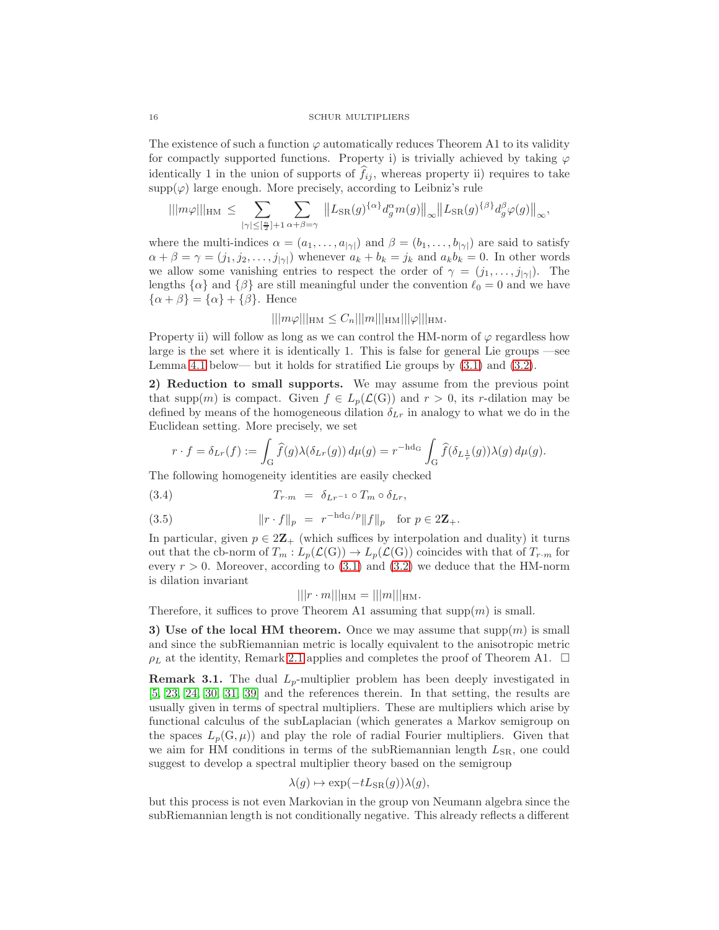The existence of such a function  $\varphi$  automatically reduces Theorem A1 to its validity for compactly supported functions. Property i) is trivially achieved by taking  $\varphi$ identically 1 in the union of supports of  $f_{ij}$ , whereas property ii) requires to take  $\text{supp}(\varphi)$  large enough. More precisely, according to Leibniz's rule

$$
|||m\varphi|||_{\mathrm{HM}} \leq \sum_{|\gamma| \leq [\frac{n}{2}]+1} \sum_{\alpha+\beta=\gamma} ||L_{\mathrm{SR}}(g)^{\{\alpha\}} d^{\alpha}_{g} m(g)||_{\infty} ||L_{\mathrm{SR}}(g)^{\{\beta\}} d^{\beta}_{g} \varphi(g)||_{\infty},
$$

where the multi-indices  $\alpha = (a_1, \ldots, a_{|\gamma|})$  and  $\beta = (b_1, \ldots, b_{|\gamma|})$  are said to satisfy  $\alpha + \beta = \gamma = (j_1, j_2, \dots, j_{|\gamma|})$  whenever  $a_k + b_k = j_k$  and  $a_k b_k = 0$ . In other words we allow some vanishing entries to respect the order of  $\gamma = (j_1, \ldots, j_{|\gamma|})$ . The lengths  $\{\alpha\}$  and  $\{\beta\}$  are still meaningful under the convention  $\ell_0 = 0$  and we have  $\{\alpha + \beta\} = \{\alpha\} + \{\beta\}.$  Hence

## $|||m\varphi|||_{\text{HM}} \leq C_n |||m|||_{\text{HM}} |||\varphi|||_{\text{HM}}.$

Property ii) will follow as long as we can control the HM-norm of  $\varphi$  regardless how large is the set where it is identically 1. This is false for general Lie groups —see Lemma [4.1](#page-19-0) below— but it holds for stratified Lie groups by  $(3.1)$  and  $(3.2)$ .

2) Reduction to small supports. We may assume from the previous point that supp $(m)$  is compact. Given  $f \in L_p(\mathcal{L}(G))$  and  $r > 0$ , its r-dilation may be defined by means of the homogeneous dilation  $\delta_{L_r}$  in analogy to what we do in the Euclidean setting. More precisely, we set

$$
r \cdot f = \delta_{Lr}(f) := \int_G \widehat{f}(g) \lambda(\delta_{Lr}(g)) d\mu(g) = r^{-\text{hd}_G} \int_G \widehat{f}(\delta_{L\frac{1}{r}}(g)) \lambda(g) d\mu(g).
$$

The following homogeneity identities are easily checked

(3.4) 
$$
T_{r\cdot m} = \delta_{Lr^{-1}} \circ T_m \circ \delta_{Lr},
$$

(3.5) 
$$
||r \cdot f||_p = r^{-h d_G/p} ||f||_p \text{ for } p \in 2\mathbf{Z}_+.
$$

In particular, given  $p \in 2\mathbb{Z}_+$  (which suffices by interpolation and duality) it turns out that the cb-norm of  $T_m: L_p(\mathcal{L}(G)) \to L_p(\mathcal{L}(G))$  coincides with that of  $T_{r,m}$  for every  $r > 0$ . Moreover, according to [\(3.1\)](#page-14-0) and [\(3.2\)](#page-14-0) we deduce that the HM-norm is dilation invariant

$$
|||r \cdot m|||_{\text{HM}} = |||m|||_{\text{HM}}.
$$

Therefore, it suffices to prove Theorem A1 assuming that  $\text{supp}(m)$  is small.

3) Use of the local HM theorem. Once we may assume that  $supp(m)$  is small and since the subRiemannian metric is locally equivalent to the anisotropic metric  $\rho_L$  at the identity, Remark [2.1](#page-13-0) applies and completes the proof of Theorem A1.  $\Box$ 

<span id="page-15-0"></span>**Remark 3.1.** The dual  $L_p$ -multiplier problem has been deeply investigated in [\[5,](#page-25-14) [23,](#page-25-15) [24,](#page-25-16) [30,](#page-26-3) [31,](#page-26-4) [39\]](#page-26-5) and the references therein. In that setting, the results are usually given in terms of spectral multipliers. These are multipliers which arise by functional calculus of the subLaplacian (which generates a Markov semigroup on the spaces  $L_p(G, \mu)$  and play the role of radial Fourier multipliers. Given that we aim for HM conditions in terms of the subRiemannian length  $L_{\rm SR}$ , one could suggest to develop a spectral multiplier theory based on the semigroup

$$
\lambda(g) \mapsto \exp(-tL_{\text{SR}}(g))\lambda(g),
$$

but this process is not even Markovian in the group von Neumann algebra since the subRiemannian length is not conditionally negative. This already reflects a different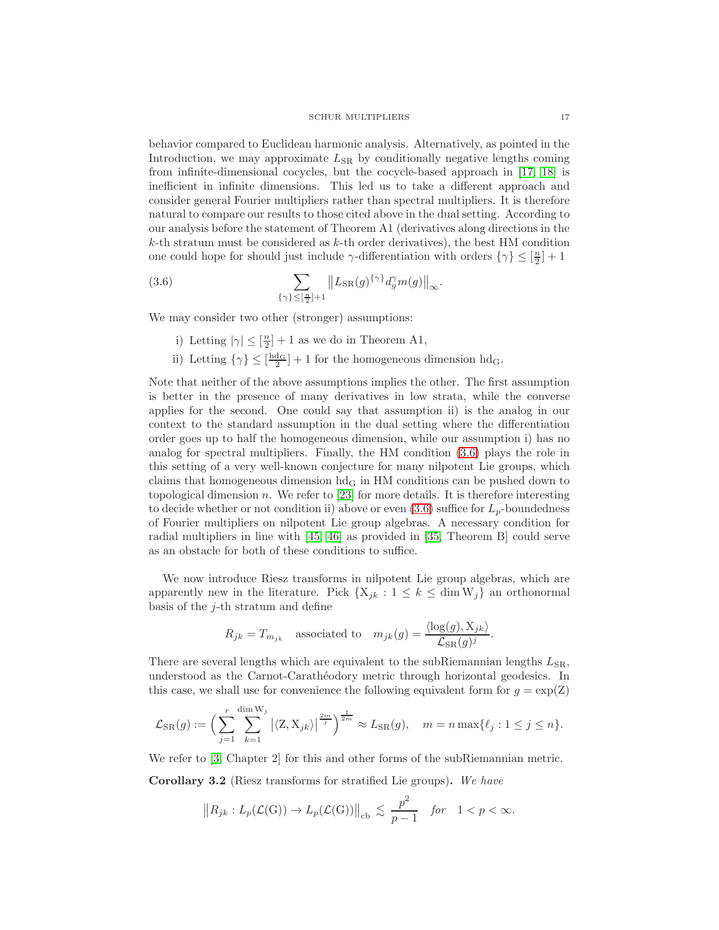behavior compared to Euclidean harmonic analysis. Alternatively, as pointed in the Introduction, we may approximate  $L_{SR}$  by conditionally negative lengths coming from infinite-dimensional cocycles, but the cocycle-based approach in [\[17,](#page-25-8) [18\]](#page-25-9) is inefficient in infinite dimensions. This led us to take a different approach and consider general Fourier multipliers rather than spectral multipliers. It is therefore natural to compare our results to those cited above in the dual setting. According to our analysis before the statement of Theorem A1 (derivatives along directions in the  $k$ -th stratum must be considered as  $k$ -th order derivatives), the best HM condition one could hope for should just include  $\gamma$ -differentiation with orders  $\{\gamma\}\leq [\frac{n}{2}]+1$ 

(3.6) 
$$
\sum_{\{\gamma\}\leq [\frac{n}{2}]+1} ||L_{SR}(g)^{\{\gamma\}} d_g^{\gamma} m(g)||_{\infty}.
$$

We may consider two other (stronger) assumptions:

- <span id="page-16-0"></span>i) Letting  $|\gamma| \leq [\frac{n}{2}] + 1$  as we do in Theorem A1,
- ii) Letting  $\{\gamma\} \leq \left[\frac{hd_G}{2}\right] + 1$  for the homogeneous dimension  $hd_G$ .

Note that neither of the above assumptions implies the other. The first assumption is better in the presence of many derivatives in low strata, while the converse applies for the second. One could say that assumption ii) is the analog in our context to the standard assumption in the dual setting where the differentiation order goes up to half the homogeneous dimension, while our assumption i) has no analog for spectral multipliers. Finally, the HM condition [\(3.6\)](#page-16-0) plays the role in this setting of a very well-known conjecture for many nilpotent Lie groups, which claims that homogeneous dimension  $hd_G$  in HM conditions can be pushed down to topological dimension n. We refer to  $[23]$  for more details. It is therefore interesting to decide whether or not condition ii) above or even  $(3.6)$  suffice for  $L_p$ -boundedness of Fourier multipliers on nilpotent Lie group algebras. A necessary condition for radial multipliers in line with [\[45,](#page-26-11) [46\]](#page-26-12) as provided in [\[35,](#page-26-0) Theorem B] could serve as an obstacle for both of these conditions to suffice.

We now introduce Riesz transforms in nilpotent Lie group algebras, which are apparently new in the literature. Pick  $\{X_{jk} : 1 \leq k \leq \dim W_j\}$  an orthonormal basis of the  $j$ -th stratum and define

$$
R_{jk} = T_{m_{jk}}
$$
 associated to  $m_{jk}(g) = \frac{\langle \log(g), X_{jk} \rangle}{\mathcal{L}_{SR}(g)^j}$ .

There are several lengths which are equivalent to the subRiemannian lengths  $L_{SR}$ , understood as the Carnot-Carath´eodory metric through horizontal geodesics. In this case, we shall use for convenience the following equivalent form for  $g = \exp(Z)$ 

$$
\mathcal{L}_{\text{SR}}(g) := \Big(\sum_{j=1}^r \sum_{k=1}^{\dim W_j} \big| \langle \mathbf{Z}, \mathbf{X}_{jk} \rangle \big| \frac{2m}{j} \Big)^{\frac{1}{2m}} \approx L_{\text{SR}}(g), \quad m = n \max\{\ell_j : 1 \le j \le n\}.
$$

We refer to [\[3,](#page-25-25) Chapter 2] for this and other forms of the subRiemannian metric.

Corollary 3.2 (Riesz transforms for stratified Lie groups). We have

$$
||R_{jk}: L_p(\mathcal{L}(G)) \to L_p(\mathcal{L}(G))||_{cb} \lesssim \frac{p^2}{p-1} \quad \text{for} \quad 1 < p < \infty.
$$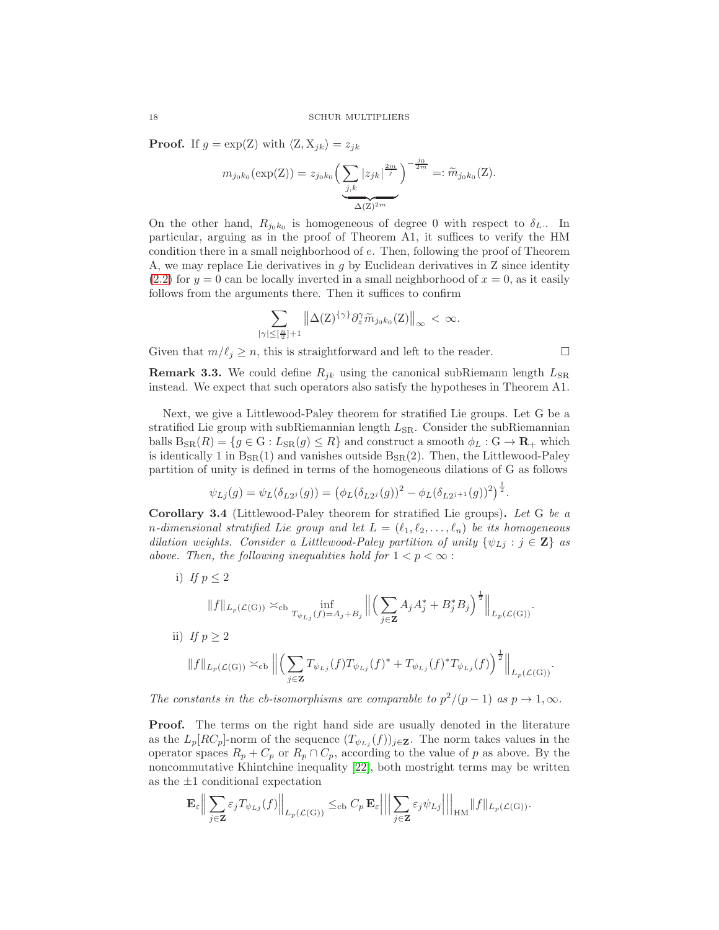**Proof.** If  $g = \exp(Z)$  with  $\langle Z, X_{jk} \rangle = z_{jk}$ 

$$
m_{j_0k_0}(\exp(Z)) = z_{j_0k_0} \left( \underbrace{\sum_{j,k} |z_{jk}|^{\frac{2m}{j}}}_{\Delta(Z)^{2m}} \right)^{-\frac{j_0}{2m}} =: \widetilde{m}_{j_0k_0}(Z).
$$

On the other hand,  $R_{j_0k_0}$  is homogeneous of degree 0 with respect to  $\delta_L$ . In particular, arguing as in the proof of Theorem A1, it suffices to verify the HM condition there in a small neighborhood of e. Then, following the proof of Theorem A, we may replace Lie derivatives in  $q$  by Euclidean derivatives in  $Z$  since identity  $(2.2)$  for  $y = 0$  can be locally inverted in a small neighborhood of  $x = 0$ , as it easily follows from the arguments there. Then it suffices to confirm

$$
\sum_{|\gamma|\leq [\frac{n}{2}]+1}\left\|\Delta(\mathbf{Z})^{\{\gamma\}}\partial_{z}^{\gamma}\widetilde{m}_{j_{0}k_{0}}(\mathbf{Z})\right\|_{\infty} < \infty.
$$

Given that  $m/\ell_j \geq n$ , this is straightforward and left to the reader.

**Remark 3.3.** We could define  $R_{jk}$  using the canonical subRiemann length  $L_{SR}$ instead. We expect that such operators also satisfy the hypotheses in Theorem A1.

Next, we give a Littlewood-Paley theorem for stratified Lie groups. Let G be a stratified Lie group with subRiemannian length  $L_{SR}$ . Consider the subRiemannian balls  $B_{SR}(R) = \{g \in G : L_{SR}(g) \leq R\}$  and construct a smooth  $\phi_L : G \to \mathbf{R}_+$  which is identically 1 in  $B_{SR}(1)$  and vanishes outside  $B_{SR}(2)$ . Then, the Littlewood-Paley partition of unity is defined in terms of the homogeneous dilations of G as follows

$$
\psi_{Lj}(g) = \psi_L(\delta_{L2^j}(g)) = (\phi_L(\delta_{L2^j}(g))^2 - \phi_L(\delta_{L2^{j+1}}(g))^2)^{\frac{1}{2}}.
$$

Corollary 3.4 (Littlewood-Paley theorem for stratified Lie groups). Let G be a n-dimensional stratified Lie group and let  $L = (\ell_1, \ell_2, \ldots, \ell_n)$  be its homogeneous dilation weights. Consider a Littlewood-Paley partition of unity  $\{\psi_{Lj} : j \in \mathbf{Z}\}\$ as above. Then, the following inequalities hold for  $1 < p < \infty$ :

i) If  $p \leq 2$  $||f||_{L_p(\mathcal{L}(\mathbf{G}))} \asymp_{\mathrm{cb}} \inf_{T_{\psi_{Lj}}(f)=A_j+B_j}$  $\begin{tabular}{|c|c|} \hline \quad \quad & \quad \quad & \quad \quad \\ \hline \quad \quad & \quad \quad & \quad \quad \\ \hline \quad \quad & \quad \quad \\ \hline \end{tabular}$  $(\nabla)$ j∈Z  $A_j A_j^* + B_j^* B_j \bigg)^{\frac{1}{2}} \Big\|_{L_p(\mathcal{L}(\mathrm{G}))}.$ ii) If  $p > 2$  $||f||_{L_p(\mathcal{L}(\mathrm{G}))} \asymp_{\mathrm{cb}} ||$  $(\nabla)$ j∈Z  $T_{\psi_{Lj}}(f)T_{\psi_{Lj}}(f)^* + T_{\psi_{Lj}}(f)^*T_{\psi_{Lj}}(f)\Big)^{\frac{1}{2}}\Big\|_{L_p(\mathcal{L}(\mathrm{G}))}.$ 

The constants in the cb-isomorphisms are comparable to  $p^2/(p-1)$  as  $p \to 1, \infty$ .

Proof. The terms on the right hand side are usually denoted in the literature as the  $L_p[RC_p]$ -norm of the sequence  $(T_{\psi_{L_j}}(f))_{j\in\mathbf{Z}}$ . The norm takes values in the operator spaces  $R_p + C_p$  or  $R_p \cap C_p$ , according to the value of p as above. By the noncommutative Khintchine inequality [\[22\]](#page-25-26), both mostright terms may be written as the  $\pm 1$  conditional expectation

$$
\mathbf{E}_{\varepsilon} \Big\| \sum_{j \in \mathbf{Z}} \varepsilon_j T_{\psi_{Lj}}(f) \Big\|_{L_p(\mathcal{L}(\mathbf{G}))} \leq_{\mathrm{cb}} C_p \mathbf{E}_{\varepsilon} \Big\| \Big\| \sum_{j \in \mathbf{Z}} \varepsilon_j \psi_{Lj} \Big\| \Big\|_{\mathrm{HM}} \|f\|_{L_p(\mathcal{L}(\mathbf{G}))}.
$$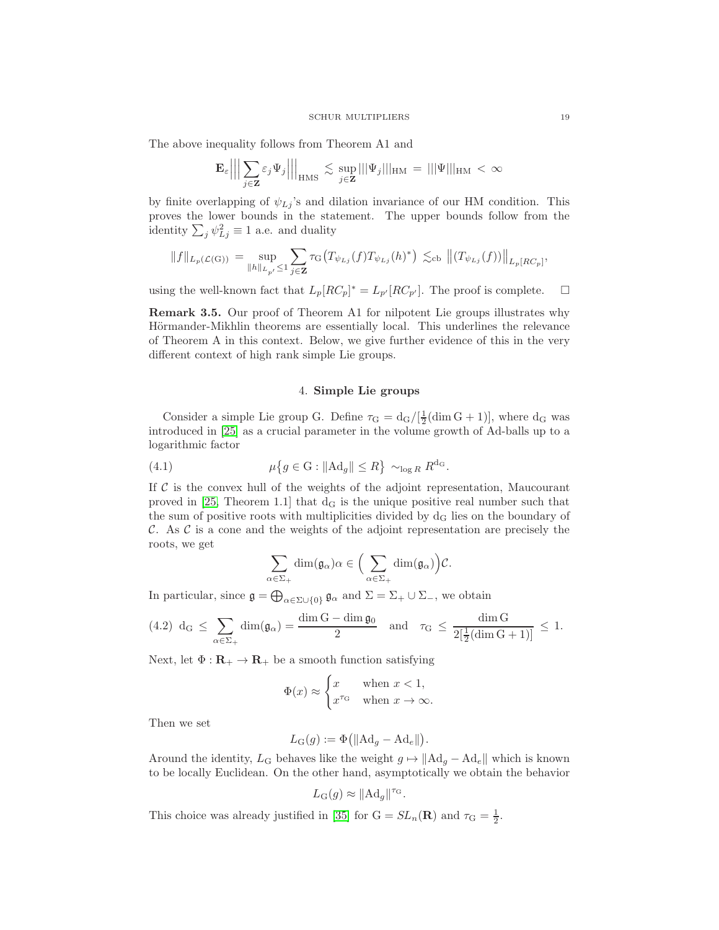The above inequality follows from Theorem A1 and

$$
\mathbf{E}_{\varepsilon} \Big|\Big|\Big|\sum_{j\in \mathbf{Z}}\varepsilon_j \Psi_j\Big|\Big|\Big|_{\rm HMS} \, \lesssim \, \sup_{j\in \mathbf{Z}}|||\Psi_j|||_{\rm HM} \, = \, |||\Psi|||_{\rm HM} \, < \, \infty
$$

by finite overlapping of  $\psi_{Lj}$ 's and dilation invariance of our HM condition. This proves the lower bounds in the statement. The upper bounds follow from the identity  $\sum_j \psi_{Lj}^2 \equiv 1$  a.e. and duality

$$
\|f\|_{L_p(\mathcal{L}(\mathcal{G}))} \, = \, \sup_{\|h\|_{L_{p'}}\le 1} \sum_{j\in\mathbf{Z}} \tau_{\mathcal{G}}\big(T_{\psi_{Lj}}(f)T_{\psi_{Lj}}(h)^*\big) \, \lesssim_{\mathrm{cb}} \, \big\| (T_{\psi_{Lj}}(f)) \big\|_{L_p[\mathrm{RC}_p]},
$$

using the well-known fact that  $L_p[RC_p]^* = L_{p'}[RC_{p'}]$ . The proof is complete.  $\square$ 

Remark 3.5. Our proof of Theorem A1 for nilpotent Lie groups illustrates why Hörmander-Mikhlin theorems are essentially local. This underlines the relevance of Theorem A in this context. Below, we give further evidence of this in the very different context of high rank simple Lie groups.

## <span id="page-18-0"></span>4. Simple Lie groups

<span id="page-18-1"></span>Consider a simple Lie group G. Define  $\tau_G = d_G/[\frac{1}{2}(\dim G + 1)]$ , where  $d_G$  was introduced in [\[25\]](#page-25-23) as a crucial parameter in the volume growth of Ad-balls up to a logarithmic factor

(4.1) 
$$
\mu\big\{g \in G : \|Ad_g\| \le R\big\} \sim_{\log R} R^{d_G}.
$$

If  $C$  is the convex hull of the weights of the adjoint representation, Maucourant proved in  $[25,$  Theorem 1.1] that  $d_G$  is the unique positive real number such that the sum of positive roots with multiplicities divided by  $d_G$  lies on the boundary of C. As  $\mathcal C$  is a cone and the weights of the adjoint representation are precisely the roots, we get

$$
\sum_{\alpha \in \Sigma_+} \dim(\mathfrak{g}_{\alpha}) \alpha \in \Big(\sum_{\alpha \in \Sigma_+} \dim(\mathfrak{g}_{\alpha})\Big) \mathcal{C}.
$$

In particular, since  $\mathfrak{g} = \bigoplus_{\alpha \in \Sigma \cup \{0\}} \mathfrak{g}_{\alpha}$  and  $\Sigma = \Sigma_+ \cup \Sigma_-,$  we obtain

$$
(4.2) d_G \le \sum_{\alpha \in \Sigma_+} \dim(\mathfrak{g}_{\alpha}) = \frac{\dim G - \dim \mathfrak{g}_0}{2} \quad \text{and} \quad \tau_G \le \frac{\dim G}{2[\frac{1}{2}(\dim G + 1)]} \le 1.
$$

Next, let  $\Phi : \mathbf{R}_{+} \to \mathbf{R}_{+}$  be a smooth function satisfying

$$
\Phi(x) \approx \begin{cases} x & \text{when } x < 1, \\ x^{\tau_G} & \text{when } x \to \infty. \end{cases}
$$

Then we set

$$
L_{\mathbf{G}}(g):=\Phi\big(\|\mathrm{Ad}_g-\mathrm{Ad}_e\|\big).
$$

Around the identity,  $L_G$  behaves like the weight  $g \mapsto ||Ad_g - Ad_e||$  which is known to be locally Euclidean. On the other hand, asymptotically we obtain the behavior

$$
L_G(g) \approx ||Ad_g||^{\tau_G}.
$$

This choice was already justified in [\[35\]](#page-26-0) for  $G = SL_n(\mathbf{R})$  and  $\tau_G = \frac{1}{2}$ .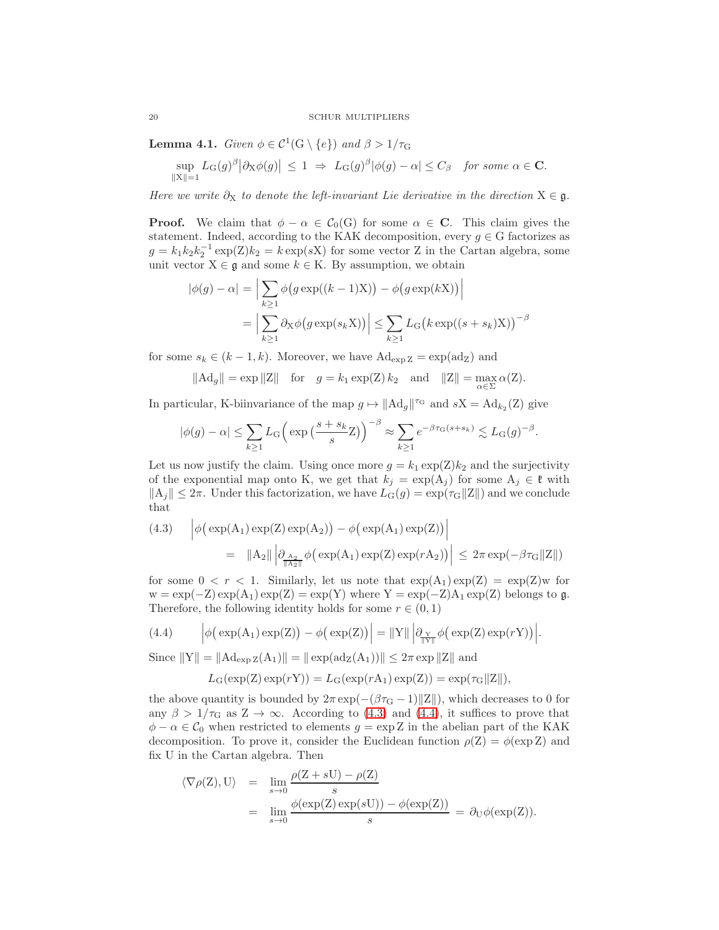<span id="page-19-0"></span>**Lemma 4.1.** Given  $\phi \in C^1(\mathbb{G} \setminus \{e\})$  and  $\beta > 1/\tau_{\mathbb{G}}$ 

$$
\sup_{\|X\|=1} L_G(g)^{\beta} \big|\partial_X \phi(g)\big| \ \leq \ 1 \ \Rightarrow \ L_G(g)^{\beta} \big|\phi(g) - \alpha\big| \leq C_{\beta} \quad \text{for some } \alpha \in \mathbf{C}.
$$

Here we write  $\partial_X$  to denote the left-invariant Lie derivative in the direction  $X \in \mathfrak{g}$ .

**Proof.** We claim that  $\phi - \alpha \in C_0(G)$  for some  $\alpha \in \mathbb{C}$ . This claim gives the statement. Indeed, according to the KAK decomposition, every  $g \in G$  factorizes as  $g = k_1 k_2 k_2^{-1} \exp(Z) k_2 = k \exp(sX)$  for some vector Z in the Cartan algebra, some unit vector  $X \in \mathfrak{g}$  and some  $k \in K$ . By assumption, we obtain

$$
|\phi(g) - \alpha| = \Big| \sum_{k \ge 1} \phi(g \exp((k-1)X)) - \phi(g \exp(kX)) \Big|
$$
  
= 
$$
\Big| \sum_{k \ge 1} \partial_X \phi(g \exp(s_k X)) \Big| \le \sum_{k \ge 1} L_G \big(k \exp((s+s_k)X)\big)^{-\beta}
$$

for some  $s_k \in (k-1,k)$ . Moreover, we have  $\text{Ad}_{\exp Z} = \exp(\text{ad}_Z)$  and

$$
||Ad_g|| = \exp ||Z||
$$
 for  $g = k_1 \exp(Z) k_2$  and  $||Z|| = \max_{\alpha \in \Sigma} \alpha(Z)$ .

In particular, K-biinvariance of the map  $g \mapsto ||Ad_g||^{r_G}$  and  $sX = Ad_{k_2}(Z)$  give

$$
|\phi(g) - \alpha| \le \sum_{k \ge 1} L_G \left( \exp\left(\frac{s + s_k}{s} Z\right) \right)^{-\beta} \approx \sum_{k \ge 1} e^{-\beta \tau_G(s + s_k)} \lesssim L_G(g)^{-\beta}
$$

.

Let us now justify the claim. Using once more  $g = k_1 \exp(Z) k_2$  and the surjectivity of the exponential map onto K, we get that  $k_j = \exp(A_j)$  for some  $A_j \in \mathfrak{k}$  with  $||A_j|| \leq 2\pi$ . Under this factorization, we have  $L_G(g) = \exp(\tau_G||Z||)$  and we conclude that

<span id="page-19-1"></span>(4.3) 
$$
\left| \phi \left( \exp(A_1) \exp(Z) \exp(A_2) \right) - \phi \left( \exp(A_1) \exp(Z) \right) \right|
$$
  

$$
= ||A_2|| \left| \partial_{\frac{A_2}{\|\Lambda_2\|}} \phi \left( \exp(A_1) \exp(Z) \exp(rA_2) \right) \right| \leq 2\pi \exp(-\beta \tau_G ||Z||)
$$

for some  $0 < r < 1$ . Similarly, let us note that  $\exp(A_1) \exp(Z) = \exp(Z) w$  for  $w = \exp(-Z) \exp(A_1) \exp(Z) = \exp(Y)$  where  $Y = \exp(-Z)A_1 \exp(Z)$  belongs to g. Therefore, the following identity holds for some  $r \in (0,1)$ 

(4.4) 
$$
\left| \phi\big(\exp(A_1)\exp(Z)\big) - \phi\big(\exp(Z)\big) \right| = \|Y\| \left| \partial_{\frac{Y}{\|Y\|}} \phi\big(\exp(Z)\exp(rY)\big) \right|.
$$

Since  $||Y|| = ||Ad_{exp Z}(A_1)|| = ||exp(ad_Z(A_1))|| \leq 2\pi exp ||Z||$  and

<span id="page-19-2"></span>
$$
L_G(\exp(Z)\exp(rY)) = L_G(\exp(rA_1)\exp(Z)) = \exp(\tau_G ||Z||),
$$

the above quantity is bounded by  $2\pi \exp(-(\beta \tau_{G} - 1)||Z||)$ , which decreases to 0 for any  $\beta > 1/\tau_G$  as  $Z \to \infty$ . According to [\(4.3\)](#page-19-1) and [\(4.4\)](#page-19-2), it suffices to prove that  $\phi - \alpha \in \mathcal{C}_0$  when restricted to elements  $g = \exp Z$  in the abelian part of the KAK decomposition. To prove it, consider the Euclidean function  $\rho(Z) = \phi(\exp Z)$  and fix U in the Cartan algebra. Then

$$
\langle \nabla \rho(Z), U \rangle = \lim_{s \to 0} \frac{\rho(Z + sU) - \rho(Z)}{s}
$$
  
= 
$$
\lim_{s \to 0} \frac{\phi(\exp(Z) \exp(sU)) - \phi(\exp(Z))}{s} = \partial_U \phi(\exp(Z)).
$$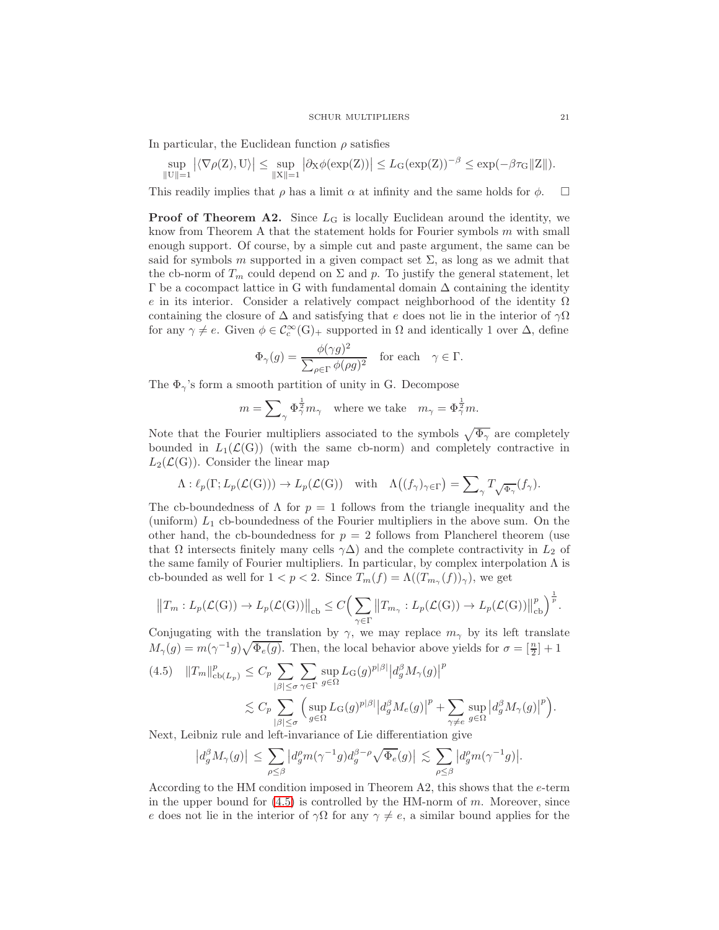In particular, the Euclidean function  $\rho$  satisfies

$$
\sup_{\|U\|=1} |\langle \nabla \rho(Z), U \rangle| \leq \sup_{\|X\|=1} |\partial_X \phi(\exp(Z))| \leq L_G(\exp(Z))^{-\beta} \leq \exp(-\beta \tau_G \|Z\|).
$$

This readily implies that  $\rho$  has a limit  $\alpha$  at infinity and the same holds for  $\phi$ .  $\Box$ 

**Proof of Theorem A2.** Since  $L<sub>G</sub>$  is locally Euclidean around the identity, we know from Theorem A that the statement holds for Fourier symbols  $m$  with small enough support. Of course, by a simple cut and paste argument, the same can be said for symbols m supported in a given compact set  $\Sigma$ , as long as we admit that the cb-norm of  $T_m$  could depend on  $\Sigma$  and  $p$ . To justify the general statement, let  $\Gamma$  be a cocompact lattice in G with fundamental domain  $\Delta$  containing the identity e in its interior. Consider a relatively compact neighborhood of the identity  $\Omega$ containing the closure of  $\Delta$  and satisfying that e does not lie in the interior of  $\gamma\Omega$ for any  $\gamma \neq e$ . Given  $\phi \in C_c^{\infty}(\mathbb{G})_+$  supported in  $\Omega$  and identically 1 over  $\Delta$ , define

$$
\Phi_{\gamma}(g) = \frac{\phi(\gamma g)^2}{\sum_{\rho \in \Gamma} \phi(\rho g)^2} \quad \text{for each} \quad \gamma \in \Gamma.
$$

The  $\Phi_{\gamma}$ 's form a smooth partition of unity in G. Decompose

$$
m = \sum_{\gamma} \Phi_{\gamma}^{\frac{1}{2}} m_{\gamma} \text{ where we take } m_{\gamma} = \Phi_{\gamma}^{\frac{1}{2}} m.
$$

Note that the Fourier multipliers associated to the symbols  $\sqrt{\Phi_{\gamma}}$  are completely bounded in  $L_1(\mathcal{L}(G))$  (with the same cb-norm) and completely contractive in  $L_2(\mathcal{L}(G))$ . Consider the linear map

$$
\Lambda: \ell_p(\Gamma; L_p(\mathcal{L}(G))) \to L_p(\mathcal{L}(G)) \quad \text{with} \quad \Lambda((f_\gamma)_{\gamma \in \Gamma}) = \sum_{\gamma} T_{\sqrt{\Phi_{\gamma}}}(f_\gamma).
$$

The cb-boundedness of  $\Lambda$  for  $p = 1$  follows from the triangle inequality and the (uniform)  $L_1$  cb-boundedness of the Fourier multipliers in the above sum. On the other hand, the cb-boundedness for  $p = 2$  follows from Plancherel theorem (use that  $\Omega$  intersects finitely many cells  $\gamma\Delta$ ) and the complete contractivity in  $L_2$  of the same family of Fourier multipliers. In particular, by complex interpolation  $\Lambda$  is cb-bounded as well for  $1 < p < 2$ . Since  $T_m(f) = \Lambda((T_{m_\gamma}(f))_{\gamma})$ , we get

$$
||T_m: L_p(\mathcal{L}(G)) \to L_p(\mathcal{L}(G))||_{cb} \leq C \Big(\sum_{\gamma \in \Gamma} ||T_{m_{\gamma}}: L_p(\mathcal{L}(G)) \to L_p(\mathcal{L}(G))||_{cb}^p\Big)^{\frac{1}{p}}.
$$

Conjugating with the translation by  $\gamma$ , we may replace  $m_{\gamma}$  by its left translate  $M_{\gamma}(g) = m(\gamma^{-1}g)\sqrt{\Phi_e(g)}$ . Then, the local behavior above yields for  $\sigma = \left[\frac{n}{2}\right] + 1$ 

<span id="page-20-0"></span>
$$
(4.5) \quad ||T_m||_{cb(L_p)}^p \le C_p \sum_{|\beta| \le \sigma} \sum_{\gamma \in \Gamma} \sup_{g \in \Omega} L_G(g)^{p|\beta|} |d_g^{\beta} M_{\gamma}(g)|^p
$$

$$
\lesssim C_p \sum_{|\beta| \le \sigma} \Big( \sup_{g \in \Omega} L_G(g)^{p|\beta|} |d_g^{\beta} M_e(g)|^p + \sum_{\gamma \ne e} \sup_{g \in \Omega} |d_g^{\beta} M_{\gamma}(g)|^p \Big).
$$

Next, Leibniz rule and left-invariance of Lie differentiation give

$$
\left|d_g^{\beta} M_{\gamma}(g)\right| \leq \sum_{\rho \leq \beta} \left|d_g^{\rho} m(\gamma^{-1}g) d_g^{\beta-\rho} \sqrt{\Phi_e}(g)\right| \lesssim \sum_{\rho \leq \beta} \left|d_g^{\rho} m(\gamma^{-1}g)\right|.
$$

According to the HM condition imposed in Theorem A2, this shows that the e-term in the upper bound for  $(4.5)$  is controlled by the HM-norm of m. Moreover, since e does not lie in the interior of  $\gamma\Omega$  for any  $\gamma \neq e$ , a similar bound applies for the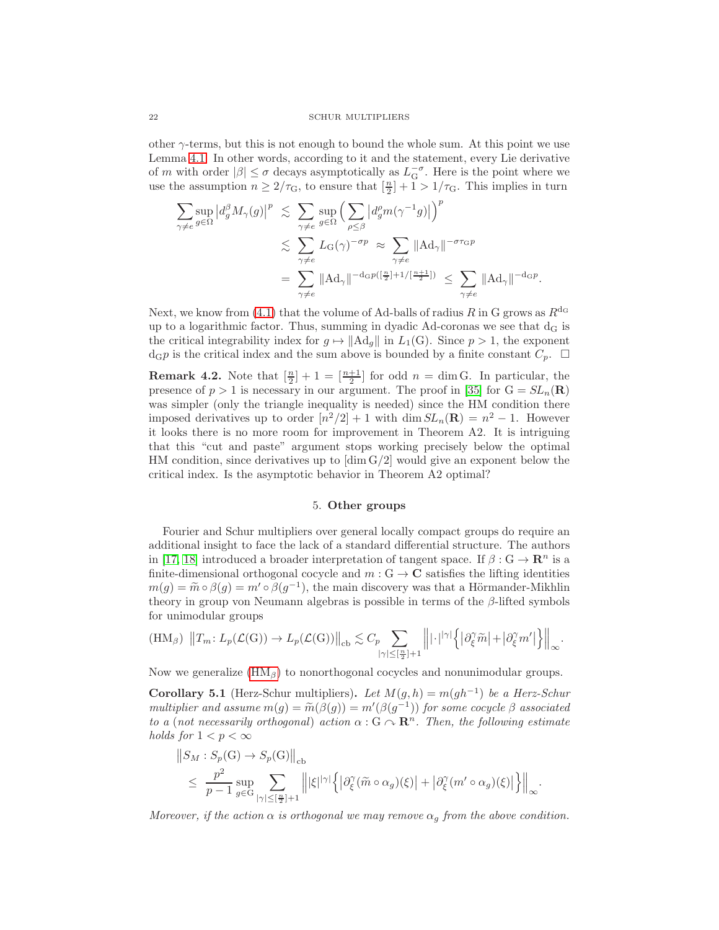other  $\gamma$ -terms, but this is not enough to bound the whole sum. At this point we use Lemma [4.1.](#page-19-0) In other words, according to it and the statement, every Lie derivative of m with order  $|\beta| \leq \sigma$  decays asymptotically as  $L_G^{-\sigma}$ . Here is the point where we use the assumption  $n \geq 2/\tau_{\rm G}$ , to ensure that  $\left[\frac{n}{2}\right] + 1 > 1/\tau_{\rm G}$ . This implies in turn

$$
\sum_{\gamma \neq e} \sup_{g \in \Omega} \left| d_g^{\beta} M_{\gamma}(g) \right|^p \leq \sum_{\gamma \neq e} \sup_{g \in \Omega} \left( \sum_{\rho \leq \beta} \left| d_g^{\rho} m(\gamma^{-1} g) \right| \right)^p
$$
  

$$
\leq \sum_{\gamma \neq e} L_{\mathcal{G}}(\gamma)^{-\sigma p} \approx \sum_{\gamma \neq e} ||\mathcal{A} \mathcal{d}_{\gamma}||^{-\sigma \tau \mathcal{G}p}
$$
  

$$
= \sum_{\gamma \neq e} ||\mathcal{A} \mathcal{d}_{\gamma}||^{-\text{d}_{\mathcal{G}}p(\left[\frac{n}{2}\right]+1/\left[\frac{n+1}{2}\right])} \leq \sum_{\gamma \neq e} ||\mathcal{A} \mathcal{d}_{\gamma}||^{-\text{d}_{\mathcal{G}}p}.
$$

Next, we know from [\(4.1\)](#page-18-0) that the volume of Ad-balls of radius R in G grows as  $R^{d_G}$ up to a logarithmic factor. Thus, summing in dyadic Ad-coronas we see that  $d_G$  is the critical integrability index for  $g \mapsto ||Ad_g||$  in  $L_1(G)$ . Since  $p > 1$ , the exponent  $d_{\mathbf{G}} p$  is the critical index and the sum above is bounded by a finite constant  $C_p$ .  $\Box$ 

<span id="page-21-0"></span>**Remark 4.2.** Note that  $\left[\frac{n}{2}\right]+1=\left[\frac{n+1}{2}\right]$  for odd  $n=\dim G$ . In particular, the presence of  $p > 1$  is necessary in our argument. The proof in [\[35\]](#page-26-0) for  $G = SL_n(\mathbf{R})$ was simpler (only the triangle inequality is needed) since the HM condition there imposed derivatives up to order  $[n^2/2]+1$  with  $\dim SL_n(\mathbf{R}) = n^2 - 1$ . However it looks there is no more room for improvement in Theorem A2. It is intriguing that this "cut and paste" argument stops working precisely below the optimal HM condition, since derivatives up to  $\dim G/2$  would give an exponent below the critical index. Is the asymptotic behavior in Theorem A2 optimal?

## 5. Other groups

<span id="page-21-1"></span>Fourier and Schur multipliers over general locally compact groups do require an additional insight to face the lack of a standard differential structure. The authors in [\[17,](#page-25-8) [18\]](#page-25-9) introduced a broader interpretation of tangent space. If  $\beta : G \to \mathbb{R}^n$  is a finite-dimensional orthogonal cocycle and  $m: G \to \mathbf{C}$  satisfies the lifting identities  $m(g) = \widetilde{m} \circ \beta(g) = m' \circ \beta(g^{-1})$ , the main discovery was that a Hörmander-Mikhlin theory in group von Neumann algebras is possible in terms of the  $\beta$ -lifted symbols for unimodular groups

<span id="page-21-2"></span>
$$
(\mathrm{HM}_{\beta}) \ \left\| T_m \colon L_p(\mathcal{L}(\mathrm{G})) \to L_p(\mathcal{L}(\mathrm{G})) \right\|_{\mathrm{cb}} \lesssim C_p \sum_{|\gamma| \leq \lfloor \frac{n}{2} \rfloor + 1} \left\| |\cdot|^{\left|\gamma\right|} \left\{ \left| \partial_{\xi}^{\gamma} \widetilde{m} \right| + \left| \partial_{\xi}^{\gamma} m' \right| \right\} \right\|_{\infty}.
$$

Now we generalize  $(HM_\beta)$  to nonorthogonal cocycles and nonunimodular groups.

<span id="page-21-3"></span>**Corollary 5.1** (Herz-Schur multipliers). Let  $M(g, h) = m(gh^{-1})$  be a Herz-Schur multiplier and assume  $m(g) = \widetilde{m}(\beta(g)) = m'(\beta(g^{-1}))$  for some cocycle  $\beta$  associated<br>the continuous suitable with some  $\beta$  and  $\mathbb{R}^n$ . Then the following estimate to a (not necessarily orthogonal) action  $\alpha : G \cap \mathbb{R}^n$ . Then, the following estimate holds for  $1 < p < \infty$ 

$$
\begin{split} \left\|S_M: S_p(\mathbf{G}) \to S_p(\mathbf{G})\right\|_{\text{cb}} \\ &\leq \left.\frac{p^2}{p-1} \sup_{g \in \mathbf{G}} \sum_{|\gamma| \leq \left[\frac{n}{2}\right]+1} \left\| |\xi|^{|\gamma|} \left\{ \left|\partial_{\xi}^{\gamma} (\tilde{m} \circ \alpha_g)(\xi) \right| + \left|\partial_{\xi}^{\gamma} (m' \circ \alpha_g)(\xi) \right| \right\} \right\|_{\infty}. \end{split}
$$

Moreover, if the action  $\alpha$  is orthogonal we may remove  $\alpha_g$  from the above condition.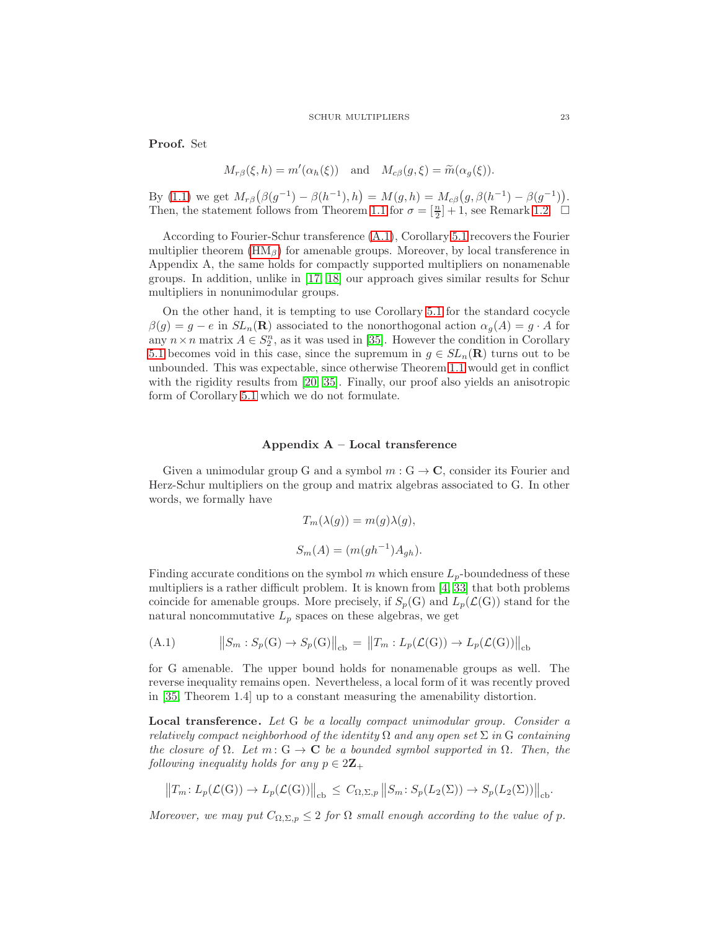Proof. Set

$$
M_{r\beta}(\xi, h) = m'(\alpha_h(\xi))
$$
 and  $M_{c\beta}(g, \xi) = \widetilde{m}(\alpha_g(\xi)).$ 

By [\(1.1\)](#page-6-0) we get  $M_{r\beta}(\beta(g^{-1}) - \beta(h^{-1}), h) = M(g, h) = M_{c\beta}(g, \beta(h^{-1}) - \beta(g^{-1})).$ Then, the statement follows from Theorem [1.1](#page-6-2) for  $\sigma = [\frac{n}{2}] + 1$ , see Remark [1.2.](#page-10-2)  $\Box$ 

According to Fourier-Schur transference [\(A.1\)](#page-22-0), Corollary [5.1](#page-21-3) recovers the Fourier multiplier theorem  $(HM_\beta)$  for amenable groups. Moreover, by local transference in Appendix A, the same holds for compactly supported multipliers on nonamenable groups. In addition, unlike in [\[17,](#page-25-8) [18\]](#page-25-9) our approach gives similar results for Schur multipliers in nonunimodular groups.

On the other hand, it is tempting to use Corollary [5.1](#page-21-3) for the standard cocycle  $\beta(g) = g - e$  in  $SL_n(\mathbf{R})$  associated to the nonorthogonal action  $\alpha_g(A) = g \cdot A$  for any  $n \times n$  matrix  $A \in S_2^n$ , as it was used in [\[35\]](#page-26-0). However the condition in Corollary [5.1](#page-21-3) becomes void in this case, since the supremum in  $g \in SL_n(\mathbf{R})$  turns out to be unbounded. This was expectable, since otherwise Theorem [1.1](#page-6-2) would get in conflict with the rigidity results from [\[20,](#page-25-6) [35\]](#page-26-0). Finally, our proof also yields an anisotropic form of Corollary [5.1](#page-21-3) which we do not formulate.

### Appendix A – Local transference

Given a unimodular group G and a symbol  $m: G \to \mathbb{C}$ , consider its Fourier and Herz-Schur multipliers on the group and matrix algebras associated to G. In other words, we formally have

$$
T_m(\lambda(g)) = m(g)\lambda(g),
$$
  

$$
S_m(A) = (m(gh^{-1})A_{gh}).
$$

Finding accurate conditions on the symbol  $m$  which ensure  $L_p$ -boundedness of these multipliers is a rather difficult problem. It is known from  $\left[4, 33\right]$  that both problems coincide for amenable groups. More precisely, if  $S_p(G)$  and  $L_p(\mathcal{L}(G))$  stand for the natural noncommutative  $L_p$  spaces on these algebras, we get

<span id="page-22-0"></span>(A.1) 
$$
\|S_m : S_p(G) \to S_p(G)\|_{cb} = \|T_m : L_p(\mathcal{L}(G)) \to L_p(\mathcal{L}(G))\|_{cb}
$$

for G amenable. The upper bound holds for nonamenable groups as well. The reverse inequality remains open. Nevertheless, a local form of it was recently proved in [\[35,](#page-26-0) Theorem 1.4] up to a constant measuring the amenability distortion.

Local transference. Let G be a locally compact unimodular group. Consider a relatively compact neighborhood of the identity  $\Omega$  and any open set  $\Sigma$  in G containing the closure of  $\Omega$ . Let  $m: G \to \mathbf{C}$  be a bounded symbol supported in  $\Omega$ . Then, the following inequality holds for any  $p \in 2\mathbb{Z}_+$ 

$$
||T_m: L_p(\mathcal{L}(G)) \to L_p(\mathcal{L}(G))||_{cb} \leq C_{\Omega, \Sigma, p} ||S_m: S_p(L_2(\Sigma)) \to S_p(L_2(\Sigma))||_{cb}.
$$

Moreover, we may put  $C_{\Omega,\Sigma,p} \leq 2$  for  $\Omega$  small enough according to the value of p.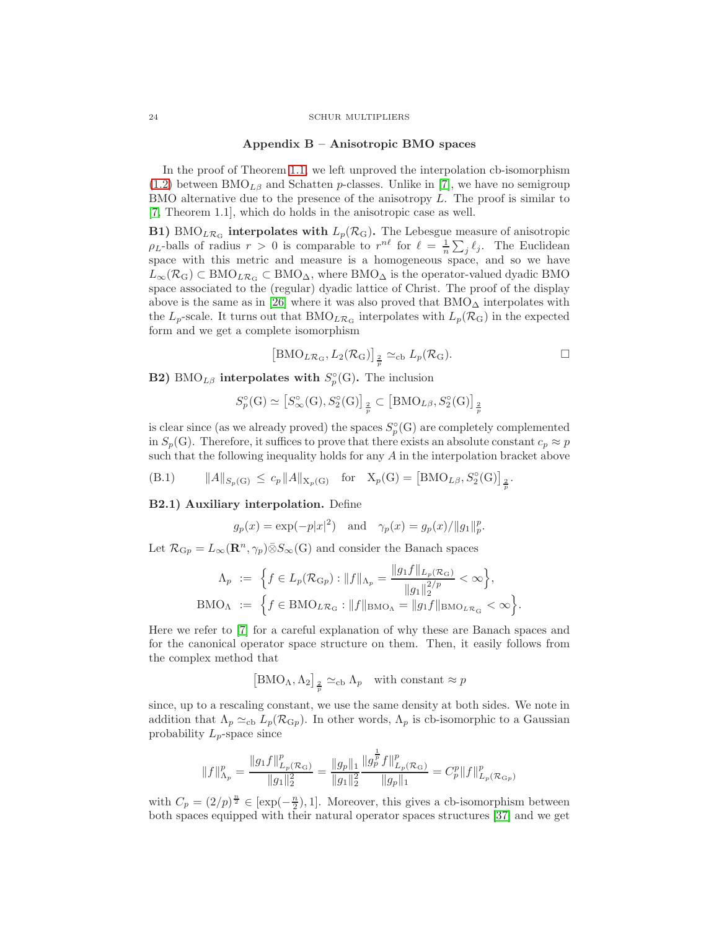## Appendix B – Anisotropic BMO spaces

In the proof of Theorem [1.1,](#page-6-2) we left unproved the interpolation cb-isomorphism  $(1.2)$  between BMO<sub>Lβ</sub> and Schatten p-classes. Unlike in [\[7\]](#page-25-13), we have no semigroup BMO alternative due to the presence of the anisotropy  $L$ . The proof is similar to [\[7,](#page-25-13) Theorem 1.1], which do holds in the anisotropic case as well.

**B1)** BMO<sub>LRG</sub> interpolates with  $L_p(\mathcal{R}_G)$ . The Lebesgue measure of anisotropic  $\rho_L$ -balls of radius  $r > 0$  is comparable to  $r^{n\ell}$  for  $\ell = \frac{1}{n} \sum_j \ell_j$ . The Euclidean space with this metric and measure is a homogeneous space, and so we have  $L_{\infty}(\mathcal{R}_{G}) \subset BMO_{LRG} \subset BMO_{\Delta}$ , where  $BMO_{\Delta}$  is the operator-valued dyadic BMO space associated to the (regular) dyadic lattice of Christ. The proof of the display above is the same as in [\[26\]](#page-25-28) where it was also proved that  $BMO_{\Delta}$  interpolates with the  $L_p$ -scale. It turns out that BMO<sub>LR<sub>G</sub></sub> interpolates with  $L_p(\mathcal{R}_G)$  in the expected form and we get a complete isomorphism

$$
[BMO_{L\mathcal{R}_G}, L_2(\mathcal{R}_G)]_{\frac{2}{p}} \simeq_{\mathrm{cb}} L_p(\mathcal{R}_G).
$$

**B2**) BMO<sub>Lβ</sub> interpolates with  $S_p^{\circ}(\mathcal{G})$ . The inclusion

$$
S_p^{\circ}(\mathcal{G}) \simeq \left[ S_{\infty}^{\circ}(\mathcal{G}), S_2^{\circ}(\mathcal{G}) \right]_{\frac{2}{p}} \subset \left[ \text{BMO}_{L\beta}, S_2^{\circ}(\mathcal{G}) \right]_{\frac{2}{p}}
$$

is clear since (as we already proved) the spaces  $S_p^{\circ}(\mathcal{G})$  are completely complemented in  $S_p(G)$ . Therefore, it suffices to prove that there exists an absolute constant  $c_p \approx p$ such that the following inequality holds for any A in the interpolation bracket above

(B.1) 
$$
||A||_{S_p(G)} \le c_p ||A||_{X_p(G)}
$$
 for  $X_p(G) = [BMO_{L\beta}, S_2^{\circ}(G)]_{\frac{2}{p}}$ .

#### B2.1) Auxiliary interpolation. Define

$$
g_p(x) = \exp(-p|x|^2)
$$
 and  $\gamma_p(x) = g_p(x)/||g_1||_p^p$ .

Let  $\mathcal{R}_{\mathbf{G}p} = L_{\infty}(\mathbf{R}^n, \gamma_p) \bar{\otimes} S_{\infty}(\mathbf{G})$  and consider the Banach spaces

$$
\Lambda_p := \left\{ f \in L_p(\mathcal{R}_{\mathrm{G}p}) : ||f||_{\Lambda_p} = \frac{||g_1 f||_{L_p(\mathcal{R}_{\mathrm{G}})}}{||g_1||_2^{2/p}} < \infty \right\},\
$$
  

$$
\text{BMO}_{\Lambda} := \left\{ f \in \text{BMO}_{L\mathcal{R}_{\mathrm{G}}} : ||f||_{\text{BMO}_{\Lambda}} = ||g_1 f||_{\text{BMO}_{L\mathcal{R}_{\mathrm{G}}}} < \infty \right\}.
$$

Here we refer to [\[7\]](#page-25-13) for a careful explanation of why these are Banach spaces and for the canonical operator space structure on them. Then, it easily follows from the complex method that

$$
\left[\text{BMO}_{\Lambda}, \Lambda_2\right]_{\frac{2}{p}} \simeq_{\text{cb}} \Lambda_p \quad \text{with constant} \approx p
$$

since, up to a rescaling constant, we use the same density at both sides. We note in addition that  $\Lambda_p \simeq_{cb} L_p(\mathcal{R}_{G_p})$ . In other words,  $\Lambda_p$  is cb-isomorphic to a Gaussian probability  $L_p$ -space since

$$
||f||^p_{\Lambda_p} = \frac{||g_1 f||^p_{L_p(\mathcal{R}_{\mathrm{G}})}}{||g_1||^2_2} = \frac{||g_p||_1}{||g_1||^2_2} \frac{||g^{\frac{1}{p}}_p f||^p_{L_p(\mathcal{R}_{\mathrm{G}})}}{||g_p||_1} = C^p_p ||f||^p_{L_p(\mathcal{R}_{\mathrm{G}_p})}
$$

with  $C_p = (2/p)^{\frac{n}{2}} \in [\exp(-\frac{n}{2}), 1]$ . Moreover, this gives a cb-isomorphism between both spaces equipped with their natural operator spaces structures [\[37\]](#page-26-2) and we get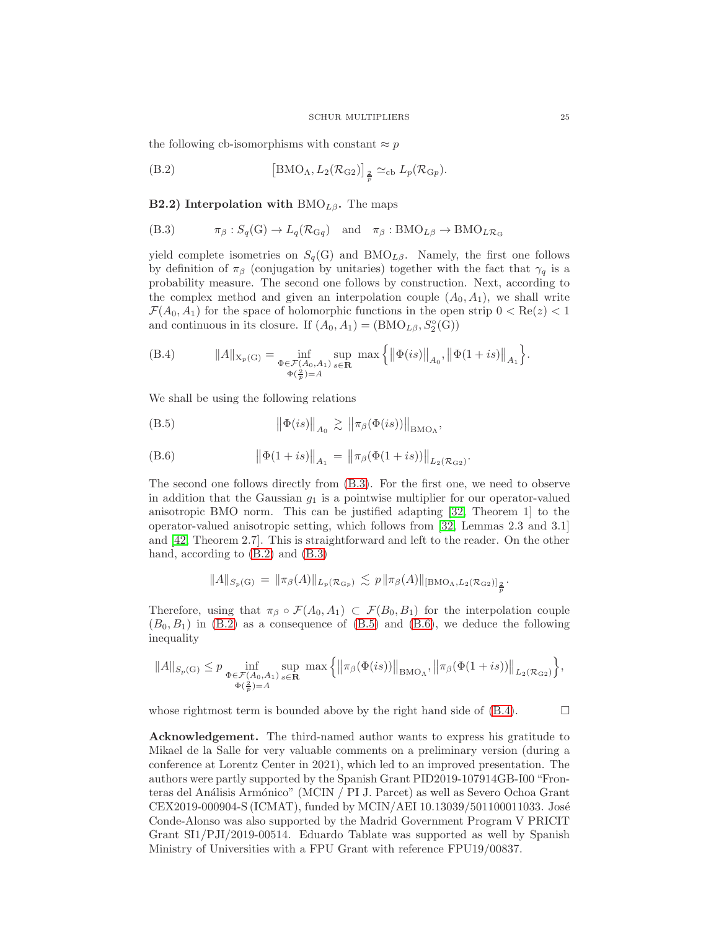the following cb-isomorphisms with constant  $\approx p$ 

<span id="page-24-1"></span>(B.2) 
$$
\left[\text{BMO}_{\Lambda}, L_2(\mathcal{R}_{G2})\right]_{\frac{2}{p}} \simeq_{\text{cb}} L_p(\mathcal{R}_{Gp}).
$$

**B2.2)** Interpolation with BMO<sub>Lβ</sub>. The maps

<span id="page-24-0"></span>(B.3) 
$$
\pi_{\beta}: S_q(G) \to L_q(\mathcal{R}_{Gq})
$$
 and  $\pi_{\beta}: BMO_{L\beta} \to BMO_{L\mathcal{R}_G}$ 

yield complete isometries on  $S_q(G)$  and BMO<sub>Lβ</sub>. Namely, the first one follows by definition of  $\pi_\beta$  (conjugation by unitaries) together with the fact that  $\gamma_q$  is a probability measure. The second one follows by construction. Next, according to the complex method and given an interpolation couple  $(A_0, A_1)$ , we shall write  $\mathcal{F}(A_0, A_1)$  for the space of holomorphic functions in the open strip  $0 < \text{Re}(z) < 1$ and continuous in its closure. If  $(A_0, A_1) = (BMO_{L\beta}, S_2^{\circ}(G))$ 

<span id="page-24-4"></span>(B.4) 
$$
||A||_{X_p(G)} = \inf_{\substack{\Phi \in \mathcal{F}(A_0, A_1) \\ \Phi(\frac{2}{p}) = A}} \sup_{s \in \mathbb{R}} \max \left\{ ||\Phi(is)||_{A_0}, ||\Phi(1+is)||_{A_1} \right\}.
$$

We shall be using the following relations

<span id="page-24-2"></span>
$$
(B.5) \t\t\t ||\Phi(is)||_{A_0} \gtrsim ||\pi_\beta(\Phi(is))||_{BMO_{\Lambda}},
$$

<span id="page-24-3"></span>(B.6) 
$$
\|\Phi(1+is)\|_{A_1} = \|\pi_{\beta}(\Phi(1+is))\|_{L_2(\mathcal{R}_{\text{G2}})}.
$$

The second one follows directly from [\(B.3\)](#page-24-0). For the first one, we need to observe in addition that the Gaussian  $g_1$  is a pointwise multiplier for our operator-valued anisotropic BMO norm. This can be justified adapting [\[32,](#page-26-14) Theorem 1] to the operator-valued anisotropic setting, which follows from [\[32,](#page-26-14) Lemmas 2.3 and 3.1] and [\[42,](#page-26-15) Theorem 2.7]. This is straightforward and left to the reader. On the other hand, according to [\(B.2\)](#page-24-1) and [\(B.3\)](#page-24-0)

$$
||A||_{S_p(G)} = ||\pi_{\beta}(A)||_{L_p(\mathcal{R}_{\text{G}_p})} \lesssim p||\pi_{\beta}(A)||_{[BMO_{\Lambda}, L_2(\mathcal{R}_{\text{G}_p})]_{\frac{2}{p}}}.
$$

Therefore, using that  $\pi_\beta \circ \mathcal{F}(A_0, A_1) \subset \mathcal{F}(B_0, B_1)$  for the interpolation couple  $(B_0, B_1)$  in  $(B.2)$  as a consequence of  $(B.5)$  and  $(B.6)$ , we deduce the following inequality

$$
||A||_{S_p(\mathcal{G})} \leq p \inf_{\substack{\Phi \in \mathcal{F}(A_0,A_1) \\ \Phi(\frac{2}{p})=A}} \sup_{s \in \mathbf{R}} \max \left\{ \left\| \pi_\beta(\Phi(is)) \right\|_{\mathrm{BMO}_\Lambda}, \left\| \pi_\beta(\Phi(1+is)) \right\|_{L_2(\mathcal{R}_{\mathcal{G}2})} \right\},\right.
$$

whose rightmost term is bounded above by the right hand side of  $(B.4)$ .  $\Box$ 

Acknowledgement. The third-named author wants to express his gratitude to Mikael de la Salle for very valuable comments on a preliminary version (during a conference at Lorentz Center in 2021), which led to an improved presentation. The authors were partly supported by the Spanish Grant PID2019-107914GB-I00 "Fronteras del Análisis Armónico" (MCIN / PI J. Parcet) as well as Severo Ochoa Grant CEX2019-000904-S (ICMAT), funded by MCIN/AEI 10.13039/501100011033. José Conde-Alonso was also supported by the Madrid Government Program V PRICIT Grant SI1/PJI/2019-00514. Eduardo Tablate was supported as well by Spanish Ministry of Universities with a FPU Grant with reference FPU19/00837.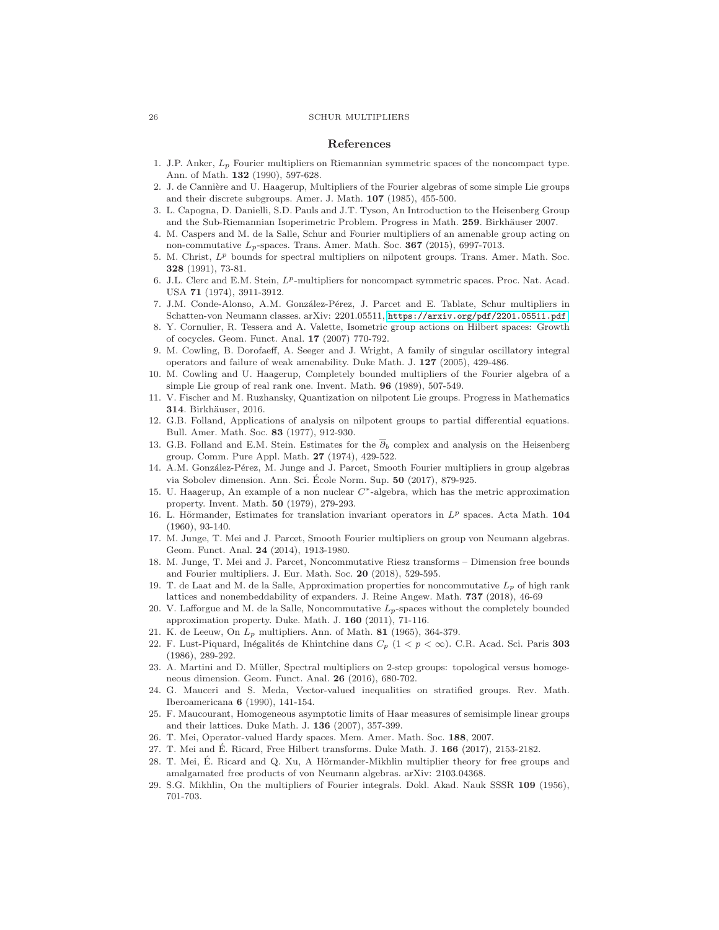#### References

- <span id="page-25-22"></span>1. J.P. Anker,  $L_p$  Fourier multipliers on Riemannian symmetric spaces of the noncompact type. Ann. of Math. 132 (1990), 597-628.
- <span id="page-25-3"></span>2. J. de Cannière and U. Haagerup, Multipliers of the Fourier algebras of some simple Lie groups and their discrete subgroups. Amer. J. Math. 107 (1985), 455-500.
- <span id="page-25-25"></span>3. L. Capogna, D. Danielli, S.D. Pauls and J.T. Tyson, An Introduction to the Heisenberg Group and the Sub-Riemannian Isoperimetric Problem. Progress in Math. 259. Birkhäuser 2007.
- <span id="page-25-27"></span>4. M. Caspers and M. de la Salle, Schur and Fourier multipliers of an amenable group acting on non-commutative  $L_p$ -spaces. Trans. Amer. Math. Soc. 367 (2015), 6997-7013.
- <span id="page-25-14"></span>5. M. Christ,  $L^p$  bounds for spectral multipliers on nilpotent groups. Trans. Amer. Math. Soc. 328 (1991), 73-81.
- <span id="page-25-21"></span>6. J.L. Clerc and E.M. Stein,  $L^p$ -multipliers for noncompact symmetric spaces. Proc. Nat. Acad. USA 71 (1974), 3911-3912.
- <span id="page-25-13"></span>7. J.M. Conde-Alonso, A.M. González-Pérez, J. Parcet and E. Tablate, Schur multipliers in Schatten-von Neumann classes. arXiv: 2201.05511, <https://arxiv.org/pdf/2201.05511.pdf>.
- <span id="page-25-20"></span>8. Y. Cornulier, R. Tessera and A. Valette, Isometric group actions on Hilbert spaces: Growth of cocycles. Geom. Funct. Anal. 17 (2007) 770-792.
- <span id="page-25-4"></span>9. M. Cowling, B. Dorofaeff, A. Seeger and J. Wright, A family of singular oscillatory integral operators and failure of weak amenability. Duke Math. J. 127 (2005), 429-486.
- <span id="page-25-5"></span>10. M. Cowling and U. Haagerup, Completely bounded multipliers of the Fourier algebra of a simple Lie group of real rank one. Invent. Math. 96 (1989), 507-549.
- <span id="page-25-19"></span>11. V. Fischer and M. Ruzhansky, Quantization on nilpotent Lie groups. Progress in Mathematics 314. Birkhäuser, 2016.
- <span id="page-25-17"></span>12. G.B. Folland, Applications of analysis on nilpotent groups to partial differential equations. Bull. Amer. Math. Soc. 83 (1977), 912-930.
- <span id="page-25-18"></span>13. G.B. Folland and E.M. Stein. Estimates for the  $\overline{\partial}_b$  complex and analysis on the Heisenberg group. Comm. Pure Appl. Math. 27 (1974), 429-522.
- <span id="page-25-7"></span>14. A.M. González-Pérez, M. Junge and J. Parcet, Smooth Fourier multipliers in group algebras via Sobolev dimension. Ann. Sci. École Norm. Sup. 50 (2017), 879-925.
- <span id="page-25-2"></span>15. U. Haagerup, An example of a non nuclear C<sup>∗</sup> -algebra, which has the metric approximation property. Invent. Math. 50 (1979), 279-293.
- <span id="page-25-0"></span>16. L. Hörmander, Estimates for translation invariant operators in  $L^p$  spaces. Acta Math. 104 (1960), 93-140.
- <span id="page-25-8"></span>17. M. Junge, T. Mei and J. Parcet, Smooth Fourier multipliers on group von Neumann algebras. Geom. Funct. Anal. 24 (2014), 1913-1980.
- <span id="page-25-9"></span>18. M. Junge, T. Mei and J. Parcet, Noncommutative Riesz transforms – Dimension free bounds and Fourier multipliers. J. Eur. Math. Soc. 20 (2018), 529-595.
- <span id="page-25-10"></span>19. T. de Laat and M. de la Salle, Approximation properties for noncommutative  $L_p$  of high rank lattices and nonembeddability of expanders. J. Reine Angew. Math. 737 (2018), 46-69
- <span id="page-25-6"></span>20. V. Lafforgue and M. de la Salle, Noncommutative  $L_p$ -spaces without the completely bounded approximation property. Duke. Math. J. 160 (2011), 71-116.
- <span id="page-25-26"></span><span id="page-25-24"></span>K. de Leeuw, On  $L_p$  multipliers. Ann. of Math. 81 (1965), 364-379.
- 22. F. Lust-Piquard, Inégalités de Khintchine dans  $C_p$  (1 <  $p < \infty$ ). C.R. Acad. Sci. Paris 303 (1986), 289-292.
- <span id="page-25-15"></span>23. A. Martini and D. M¨uller, Spectral multipliers on 2-step groups: topological versus homogeneous dimension. Geom. Funct. Anal. 26 (2016), 680-702.
- <span id="page-25-16"></span>24. G. Mauceri and S. Meda, Vector-valued inequalities on stratified groups. Rev. Math. Iberoamericana 6 (1990), 141-154.
- <span id="page-25-23"></span>25. F. Maucourant, Homogeneous asymptotic limits of Haar measures of semisimple linear groups and their lattices. Duke Math. J. 136 (2007), 357-399.
- <span id="page-25-28"></span><span id="page-25-11"></span>26. T. Mei, Operator-valued Hardy spaces. Mem. Amer. Math. Soc. 188, 2007.
- <span id="page-25-12"></span>27. T. Mei and É. Ricard, Free Hilbert transforms. Duke Math. J. 166 (2017), 2153-2182.
- 28. T. Mei, É. Ricard and Q. Xu, A Hörmander-Mikhlin multiplier theory for free groups and amalgamated free products of von Neumann algebras. arXiv: 2103.04368.
- <span id="page-25-1"></span>29. S.G. Mikhlin, On the multipliers of Fourier integrals. Dokl. Akad. Nauk SSSR 109 (1956), 701-703.